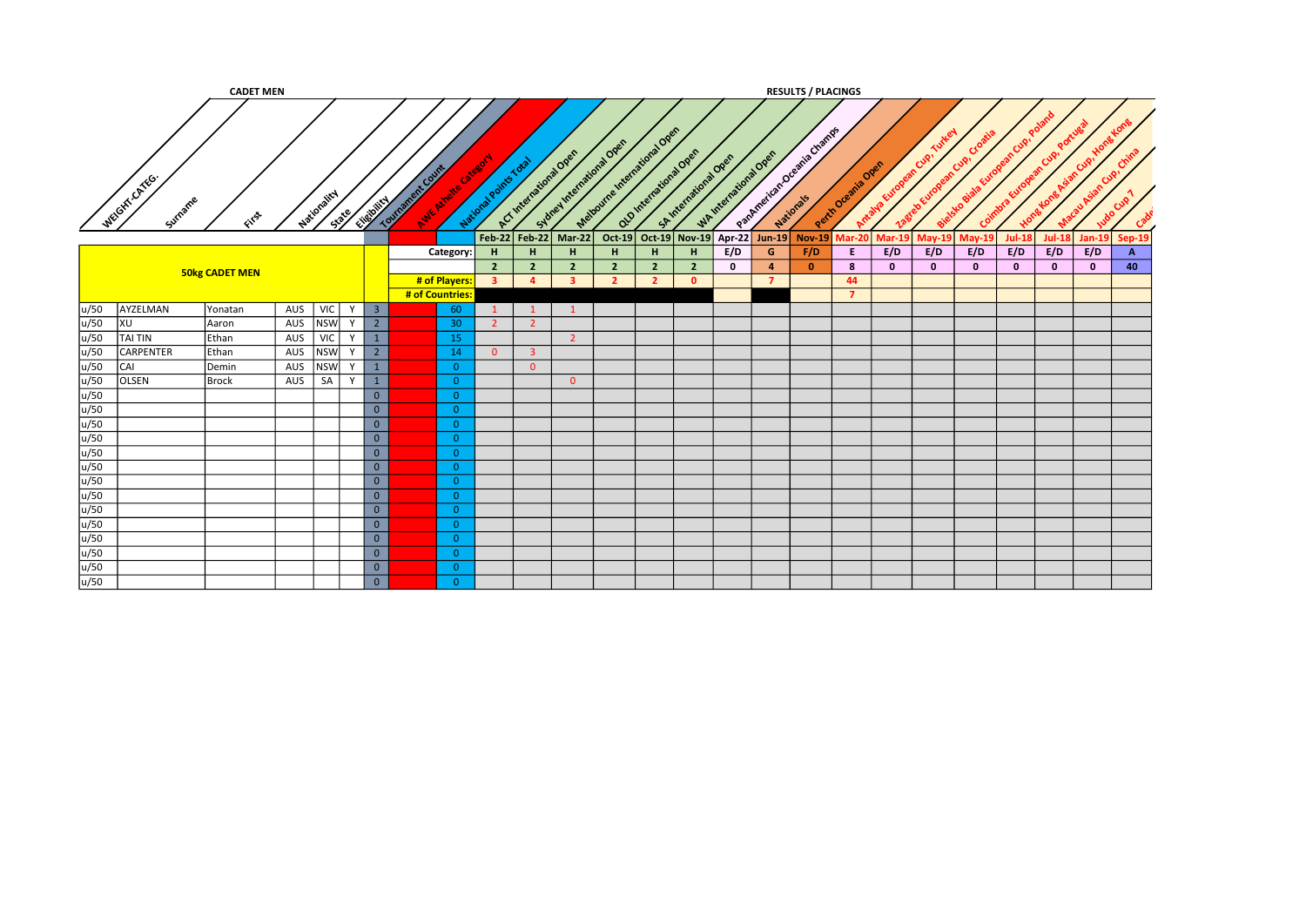|      |                        | <b>CADET MEN</b>      |     |             |       |                         |                                         |                 |                                  |                                  |                                                      |                                  |                                  |                                            |             |                                           | <b>RESULTS / PLACINGS</b> |                   |                   |               |                  |                     |                     |               |                      |  |
|------|------------------------|-----------------------|-----|-------------|-------|-------------------------|-----------------------------------------|-----------------|----------------------------------|----------------------------------|------------------------------------------------------|----------------------------------|----------------------------------|--------------------------------------------|-------------|-------------------------------------------|---------------------------|-------------------|-------------------|---------------|------------------|---------------------|---------------------|---------------|----------------------|--|
|      | WEGITTCATEG<br>Surname | First                 |     | Mationality | State | Elizabeth               | Tourisment Curry<br>Avie Aireire Catego |                 | National Points Total            |                                  | Subrel International Open<br>A.C. International Over | Method me I metal digital Open   |                                  | alginierational Open<br>Skytteriatora Over |             | WAINTENTWOOD OPEN                         | Pathresican beams Change  | Perindream's Over | Arrival Va Europe | nean Cup      | Croo<br>ean Cup. |                     |                     | Cup!          |                      |  |
|      |                        |                       |     |             |       |                         |                                         |                 |                                  |                                  | Feb-22 Feb-22 Mar-22                                 |                                  |                                  | Oct-19 Oct-19 Nov-19 Apr-22 Jun-19         |             |                                           | $Nov-19$                  | <b>Mar-20</b>     | <b>Mar-19</b>     | <b>May-19</b> | $May-19$         | $Jul-18$            | <b>Jul-18</b>       | <b>Jan-19</b> | Sep-19               |  |
|      |                        |                       |     |             |       |                         |                                         | Category:       | H                                | н                                | H.                                                   | H.                               | H                                | н                                          | E/D         | G                                         | F/D                       | E.                | E/D               | E/D           | E/D              | E/D<br>$\mathbf{0}$ | E/D<br>$\mathbf{0}$ | E/D           | $\overline{A}$<br>40 |  |
|      |                        | <b>50kg CADET MEN</b> |     |             |       |                         | # of Players:                           |                 | $\overline{2}$<br>3 <sup>1</sup> | $\overline{2}$<br>$\overline{a}$ | $\overline{2}$<br>$\overline{\mathbf{3}}$            | $\overline{2}$<br>$\overline{2}$ | $\overline{2}$<br>$\overline{2}$ | $\overline{2}$<br>$\Omega$                 | $\mathbf 0$ | $\overline{\mathbf{4}}$<br>$\overline{7}$ | $\mathbf{0}$              | 8<br>44           | $\mathbf{0}$      | $\bf{0}$      | $\mathbf{0}$     |                     |                     | $\mathbf{0}$  |                      |  |
|      |                        |                       |     |             |       |                         | # of Countries:                         |                 |                                  |                                  |                                                      |                                  |                                  |                                            |             |                                           |                           | $\overline{7}$    |                   |               |                  |                     |                     |               |                      |  |
| u/50 | AYZELMAN               | Yonatan               | AUS | VIC         | Y     | $\overline{\mathbf{3}}$ |                                         | 60              |                                  | $\mathbf{1}$                     | $\mathbf{1}$                                         |                                  |                                  |                                            |             |                                           |                           |                   |                   |               |                  |                     |                     |               |                      |  |
| u/50 | XU                     | Aaron                 | AUS | <b>NSW</b>  | Y     | $\overline{2}$          |                                         | 30 <sub>2</sub> | $\overline{2}$                   | $\overline{2}$                   |                                                      |                                  |                                  |                                            |             |                                           |                           |                   |                   |               |                  |                     |                     |               |                      |  |
| u/50 | <b>TAI TIN</b>         | Ethan                 | AUS | VIC         | Y     | $\mathbf{1}$            |                                         | 15              |                                  |                                  | $\overline{2}$                                       |                                  |                                  |                                            |             |                                           |                           |                   |                   |               |                  |                     |                     |               |                      |  |
| u/50 | <b>CARPENTER</b>       | Ethan                 | AUS | <b>NSW</b>  | Y     | $\overline{2}$          |                                         | 14              | $\overline{0}$                   | $\overline{\mathbf{3}}$          |                                                      |                                  |                                  |                                            |             |                                           |                           |                   |                   |               |                  |                     |                     |               |                      |  |
| u/50 | CAI                    | Demin                 | AUS | <b>NSW</b>  | Y     | $\mathbf{1}$            |                                         | $\Omega$        |                                  | $\Omega$                         |                                                      |                                  |                                  |                                            |             |                                           |                           |                   |                   |               |                  |                     |                     |               |                      |  |
| u/50 | OLSEN                  | Brock                 | AUS | SA          | Y     | $\mathbf{1}$            |                                         | $\Omega$        |                                  |                                  | $\overline{0}$                                       |                                  |                                  |                                            |             |                                           |                           |                   |                   |               |                  |                     |                     |               |                      |  |
| u/50 |                        |                       |     |             |       | $\overline{0}$          |                                         | $\overline{0}$  |                                  |                                  |                                                      |                                  |                                  |                                            |             |                                           |                           |                   |                   |               |                  |                     |                     |               |                      |  |
| u/50 |                        |                       |     |             |       | $\overline{0}$          |                                         | $\overline{0}$  |                                  |                                  |                                                      |                                  |                                  |                                            |             |                                           |                           |                   |                   |               |                  |                     |                     |               |                      |  |
| u/50 |                        |                       |     |             |       | $\overline{0}$          |                                         | $\overline{0}$  |                                  |                                  |                                                      |                                  |                                  |                                            |             |                                           |                           |                   |                   |               |                  |                     |                     |               |                      |  |
| u/50 |                        |                       |     |             |       | $\overline{0}$          |                                         | $\overline{0}$  |                                  |                                  |                                                      |                                  |                                  |                                            |             |                                           |                           |                   |                   |               |                  |                     |                     |               |                      |  |
| u/50 |                        |                       |     |             |       | $\overline{0}$          |                                         | $\overline{0}$  |                                  |                                  |                                                      |                                  |                                  |                                            |             |                                           |                           |                   |                   |               |                  |                     |                     |               |                      |  |
| u/50 |                        |                       |     |             |       | $\overline{0}$          |                                         | $\overline{0}$  |                                  |                                  |                                                      |                                  |                                  |                                            |             |                                           |                           |                   |                   |               |                  |                     |                     |               |                      |  |
| u/50 |                        |                       |     |             |       | $\overline{0}$          |                                         | $\overline{0}$  |                                  |                                  |                                                      |                                  |                                  |                                            |             |                                           |                           |                   |                   |               |                  |                     |                     |               |                      |  |
| u/50 |                        |                       |     |             |       | $\overline{0}$          |                                         | $\overline{0}$  |                                  |                                  |                                                      |                                  |                                  |                                            |             |                                           |                           |                   |                   |               |                  |                     |                     |               |                      |  |
| u/50 |                        |                       |     |             |       | $\overline{0}$          |                                         | $\overline{0}$  |                                  |                                  |                                                      |                                  |                                  |                                            |             |                                           |                           |                   |                   |               |                  |                     |                     |               |                      |  |
| u/50 |                        |                       |     |             |       | $\overline{0}$          |                                         | $\overline{0}$  |                                  |                                  |                                                      |                                  |                                  |                                            |             |                                           |                           |                   |                   |               |                  |                     |                     |               |                      |  |
| u/50 |                        |                       |     |             |       | $\overline{0}$          |                                         | $\overline{0}$  |                                  |                                  |                                                      |                                  |                                  |                                            |             |                                           |                           |                   |                   |               |                  |                     |                     |               |                      |  |
| u/50 |                        |                       |     |             |       | $\overline{0}$          |                                         | $\overline{0}$  |                                  |                                  |                                                      |                                  |                                  |                                            |             |                                           |                           |                   |                   |               |                  |                     |                     |               |                      |  |
| u/50 |                        |                       |     |             |       | $\overline{0}$          |                                         | $\overline{0}$  |                                  |                                  |                                                      |                                  |                                  |                                            |             |                                           |                           |                   |                   |               |                  |                     |                     |               |                      |  |
| u/50 |                        |                       |     |             |       | $\overline{0}$          |                                         | $\overline{0}$  |                                  |                                  |                                                      |                                  |                                  |                                            |             |                                           |                           |                   |                   |               |                  |                     |                     |               |                      |  |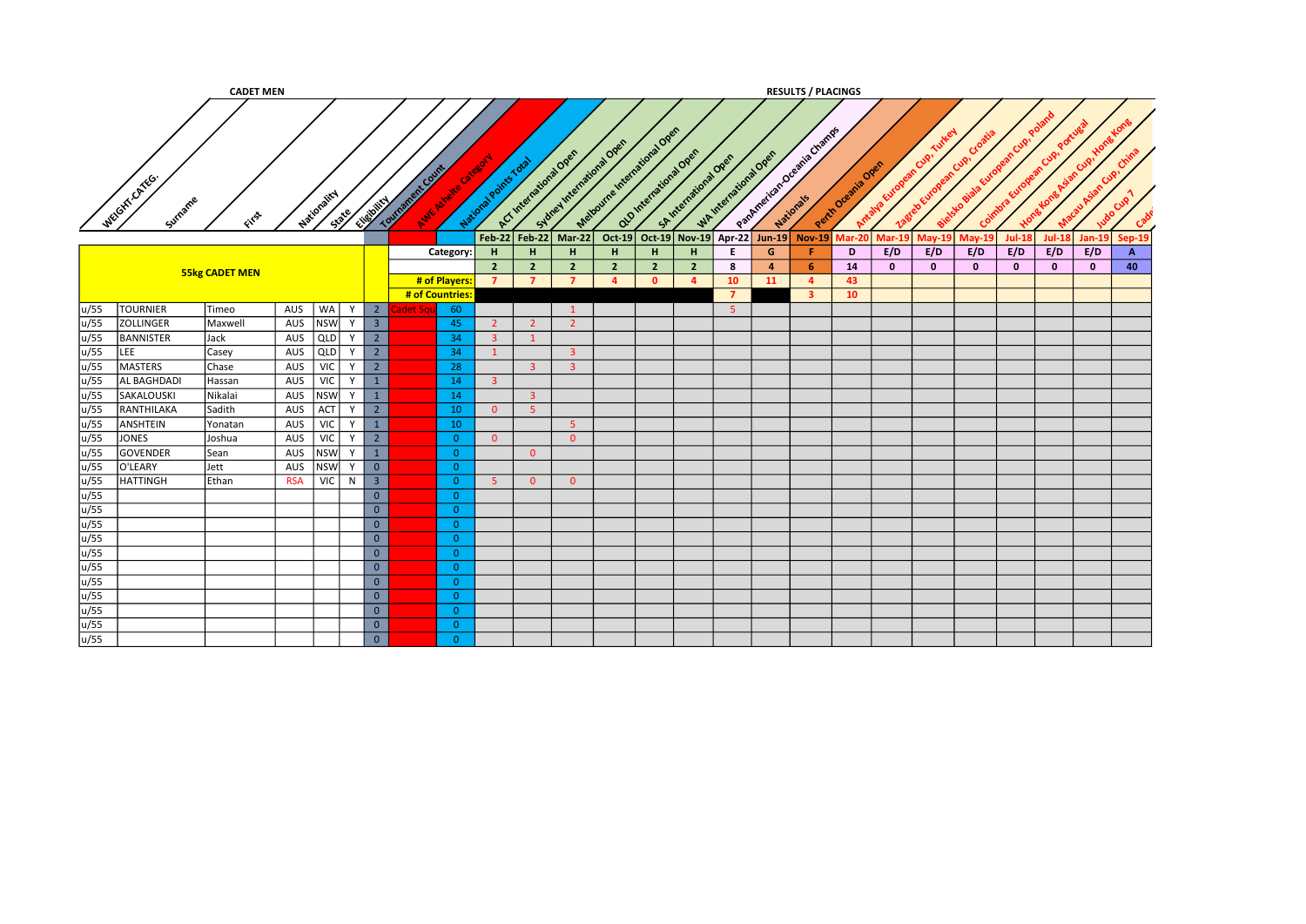|      |                         | <b>CADET MEN</b>      |            |             |       |                         |                  |                    |                       |                         |                                                     |                              |                |                                             |                |                  | <b>RESULTS / PLACINGS</b> |                   |                       |                            |               |                                 |               |              |                |
|------|-------------------------|-----------------------|------------|-------------|-------|-------------------------|------------------|--------------------|-----------------------|-------------------------|-----------------------------------------------------|------------------------------|----------------|---------------------------------------------|----------------|------------------|---------------------------|-------------------|-----------------------|----------------------------|---------------|---------------------------------|---------------|--------------|----------------|
|      | WEGIT CATEG.<br>Surname | FITS                  |            | Nationality | State | Elistown                | Tourisment Count | Avie Nivele Citate | National Points Total |                         | Sydney International Open<br>ACT International Open | Method me International Open |                | alginienstand over<br>St International Open |                | Whitenstons Open | Patrickian breadya Change | Perih Oremia Over | Antalya European Cip. | rean Cup.<br>Zagreb Europe |               | obiala European Cup,<br>Coimbra | Cup!          | Cup!         | Crim           |
|      |                         |                       |            |             |       |                         |                  |                    | $Feb-22$              | <b>Feb-22</b>           | $Mar-22$                                            | $Oct-19$                     |                | Oct-19 Nov-19 Apr-22                        |                | $Jun-19$         | $Nov-19$                  | $\textsf{Mar-20}$ | $Mar-19$              | <b>May-19</b>              | <b>May-19</b> | <b>Jul-18</b>                   | <b>Jul-18</b> | Jan-19       | Sep-19         |
|      |                         |                       |            |             |       |                         |                  | Category:          | H                     | H                       | H                                                   | H                            | H              | н                                           | E.             | G                | Æ.                        | D                 | E/D                   | E/D                        | E/D           | E/D                             | E/D           | E/D          | $\overline{A}$ |
|      |                         |                       |            |             |       |                         |                  |                    | $\overline{2}$        | $\overline{2}$          | $\overline{2}$                                      | $\overline{2}$               | $\overline{2}$ | $\overline{2}$                              | 8              | $\overline{4}$   | -6                        | 14                | $\mathbf{0}$          | $\mathbf{0}$               | $\mathbf 0$   | $\mathbf{0}$                    | $\mathbf{0}$  | $\mathbf{o}$ | 40             |
|      |                         | <b>55kg CADET MEN</b> |            |             |       |                         |                  | # of Players:      | $\overline{7}$        | $\overline{7}$          | $\overline{7}$                                      | $\overline{a}$               | $\mathbf{0}$   | $\mathbf{A}$                                | 10             | <b>11</b>        | $\overline{a}$            | 43                |                       |                            |               |                                 |               |              |                |
|      |                         |                       |            |             |       |                         |                  | # of Countries     |                       |                         |                                                     |                              |                |                                             | $\overline{ }$ |                  | 3                         | 10                |                       |                            |               |                                 |               |              |                |
| u/55 | <b>TOURNIER</b>         | Timeo                 | AUS        | WA          | Y     | $\overline{2}$          | det Sq           | 60                 |                       |                         | 1                                                   |                              |                |                                             | -5             |                  |                           |                   |                       |                            |               |                                 |               |              |                |
| u/55 | <b>ZOLLINGER</b>        | Maxwell               | AUS        | <b>NSW</b>  | Y     | $\overline{\mathbf{3}}$ |                  | 45                 | $2^{\circ}$           | $\overline{2}$          | $\overline{2}$                                      |                              |                |                                             |                |                  |                           |                   |                       |                            |               |                                 |               |              |                |
| u/55 | <b>BANNISTER</b>        | Jack                  | AUS        | QLD         | Y     | $\overline{2}$          |                  | 34                 | 3 <sup>7</sup>        | $\mathbf{1}$            |                                                     |                              |                |                                             |                |                  |                           |                   |                       |                            |               |                                 |               |              |                |
| u/55 | LEE                     | Casey                 | AUS        | QLD         | Y     | $\overline{2}$          |                  | 34                 | $\mathbf{1}$          |                         | 3 <sup>1</sup>                                      |                              |                |                                             |                |                  |                           |                   |                       |                            |               |                                 |               |              |                |
| u/55 | MASTERS                 | Chase                 | AUS        | <b>VIC</b>  | Y     | $\overline{2}$          |                  | 28                 |                       | $\overline{\mathbf{3}}$ | $\overline{\mathbf{3}}$                             |                              |                |                                             |                |                  |                           |                   |                       |                            |               |                                 |               |              |                |
| u/55 | <b>AL BAGHDADI</b>      | Hassan                | AUS        | <b>VIC</b>  | Y     | $\mathbf{1}$            |                  | 14                 | $\mathbf{3}$          |                         |                                                     |                              |                |                                             |                |                  |                           |                   |                       |                            |               |                                 |               |              |                |
| u/55 | SAKALOUSKI              | Nikalai               | AUS        | <b>NSW</b>  | Y     | $\mathbf{1}$            |                  | 14                 |                       | 3 <sup>7</sup>          |                                                     |                              |                |                                             |                |                  |                           |                   |                       |                            |               |                                 |               |              |                |
| u/55 | RANTHILAKA              | Sadith                | AUS        | ACT         | Y     | $\overline{2}$          |                  | 10                 | $\overline{0}$        | 5 <sub>1</sub>          |                                                     |                              |                |                                             |                |                  |                           |                   |                       |                            |               |                                 |               |              |                |
| u/55 | ANSHTEIN                | Yonatan               | AUS        | VIC         | Y     | $\mathbf{1}$            |                  | 10                 |                       |                         | 5 <sup>°</sup>                                      |                              |                |                                             |                |                  |                           |                   |                       |                            |               |                                 |               |              |                |
| u/55 | JONES                   | Joshua                | AUS        | <b>VIC</b>  | Y     | $2^{\circ}$             |                  | $\overline{0}$     | $\Omega$              |                         | $\overline{0}$                                      |                              |                |                                             |                |                  |                           |                   |                       |                            |               |                                 |               |              |                |
| u/55 | GOVENDER                | Sean                  | AUS        | <b>NSW</b>  | Y     | 1                       |                  | $\overline{0}$     |                       | $\Omega$                |                                                     |                              |                |                                             |                |                  |                           |                   |                       |                            |               |                                 |               |              |                |
| u/55 | O'LEARY                 | Jett                  | AUS        | <b>NSW</b>  | Y     | $\overline{0}$          |                  | $\overline{0}$     |                       |                         |                                                     |                              |                |                                             |                |                  |                           |                   |                       |                            |               |                                 |               |              |                |
| u/55 | <b>HATTINGH</b>         | Ethan                 | <b>RSA</b> | <b>VIC</b>  | N     | $\overline{\mathbf{3}}$ |                  | $\overline{0}$     | -5                    | $\overline{0}$          | $\overline{0}$                                      |                              |                |                                             |                |                  |                           |                   |                       |                            |               |                                 |               |              |                |
| u/55 |                         |                       |            |             |       | $\overline{0}$          |                  | $\overline{0}$     |                       |                         |                                                     |                              |                |                                             |                |                  |                           |                   |                       |                            |               |                                 |               |              |                |
| u/55 |                         |                       |            |             |       | $\overline{0}$          |                  | $\overline{0}$     |                       |                         |                                                     |                              |                |                                             |                |                  |                           |                   |                       |                            |               |                                 |               |              |                |
| u/55 |                         |                       |            |             |       | $\overline{0}$          |                  | $\overline{0}$     |                       |                         |                                                     |                              |                |                                             |                |                  |                           |                   |                       |                            |               |                                 |               |              |                |
| u/55 |                         |                       |            |             |       | $\overline{0}$          |                  | $\overline{0}$     |                       |                         |                                                     |                              |                |                                             |                |                  |                           |                   |                       |                            |               |                                 |               |              |                |
| u/55 |                         |                       |            |             |       | $\overline{0}$          |                  | $\overline{0}$     |                       |                         |                                                     |                              |                |                                             |                |                  |                           |                   |                       |                            |               |                                 |               |              |                |
| u/55 |                         |                       |            |             |       | $\overline{0}$          |                  | $\overline{0}$     |                       |                         |                                                     |                              |                |                                             |                |                  |                           |                   |                       |                            |               |                                 |               |              |                |
| u/55 |                         |                       |            |             |       | $\overline{0}$          |                  | $\overline{0}$     |                       |                         |                                                     |                              |                |                                             |                |                  |                           |                   |                       |                            |               |                                 |               |              |                |
| u/55 |                         |                       |            |             |       | $\overline{0}$          |                  | $\overline{0}$     |                       |                         |                                                     |                              |                |                                             |                |                  |                           |                   |                       |                            |               |                                 |               |              |                |
| u/55 |                         |                       |            |             |       | $\overline{0}$          |                  | $\overline{0}$     |                       |                         |                                                     |                              |                |                                             |                |                  |                           |                   |                       |                            |               |                                 |               |              |                |
| u/55 |                         |                       |            |             |       | $\overline{0}$          |                  | $\overline{0}$     |                       |                         |                                                     |                              |                |                                             |                |                  |                           |                   |                       |                            |               |                                 |               |              |                |
| u/55 |                         |                       |            |             |       | $\overline{0}$          |                  | $\overline{0}$     |                       |                         |                                                     |                              |                |                                             |                |                  |                           |                   |                       |                            |               |                                 |               |              |                |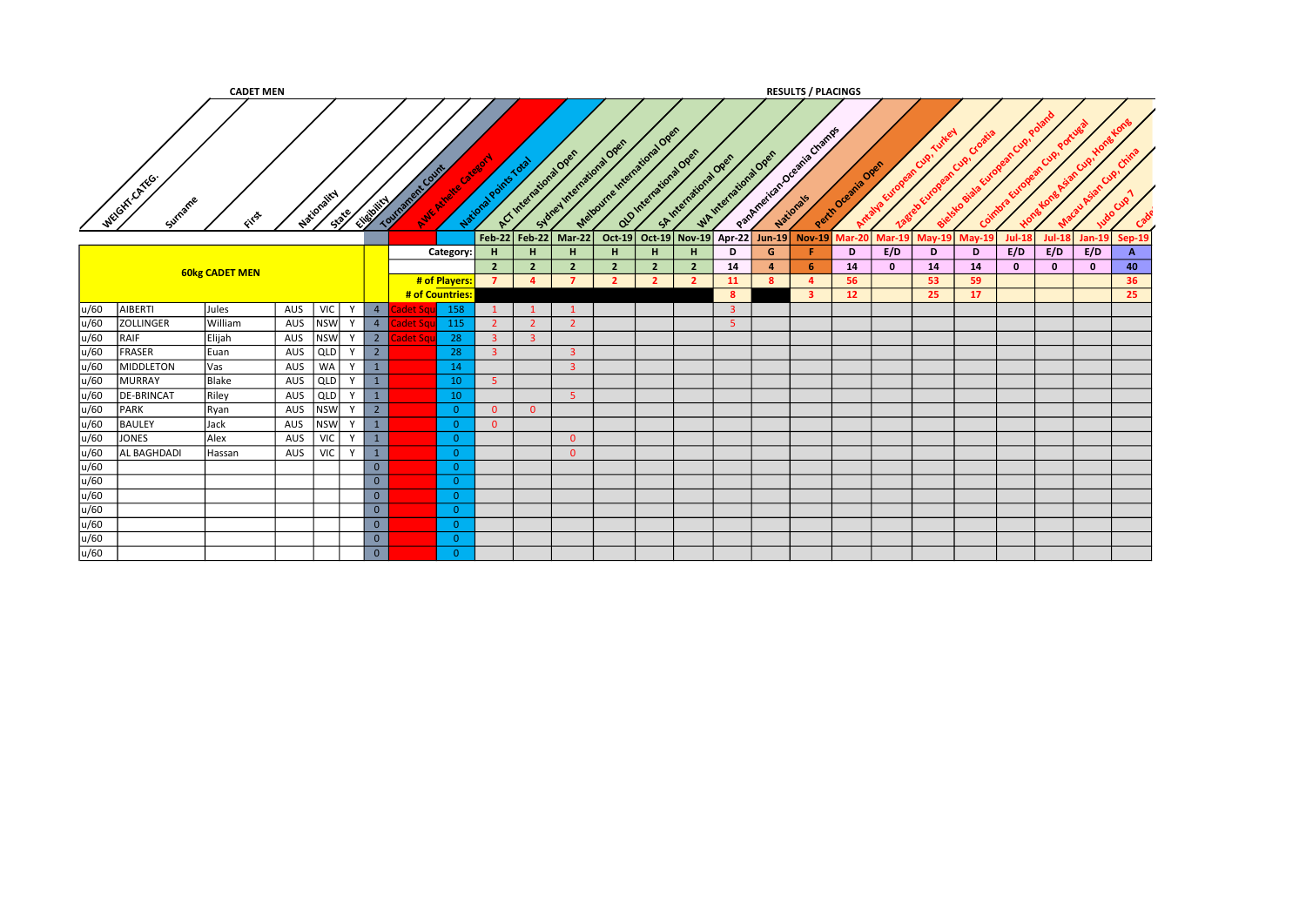|                     |                         | <b>CADET MEN</b>      |     |                      |              |                |                     |                |                                  |                                  |                           |                                  |                                  |                                                 |                         |                        | <b>RESULTS / PLACINGS</b> |                    |               |          |          |               |               |               |          |
|---------------------|-------------------------|-----------------------|-----|----------------------|--------------|----------------|---------------------|----------------|----------------------------------|----------------------------------|---------------------------|----------------------------------|----------------------------------|-------------------------------------------------|-------------------------|------------------------|---------------------------|--------------------|---------------|----------|----------|---------------|---------------|---------------|----------|
|                     | WEGHT.CATEG.<br>Surname | GIFST                 |     | Nationality<br>State | Elizabetical |                | nt Count<br>Tournam | Avic Aireire   | National Points Total            | ACT International Over           | Sydney International Open | Matourne International Open      |                                  | Old International Open<br>SA International Open |                         | WAINTENT OFFICIAL OPEN | Partmentant Oceania Champ | Perih Oremile Open |               | Cuo.     |          |               |               |               |          |
|                     |                         |                       |     |                      |              |                |                     |                |                                  |                                  | Feb-22 Feb-22 Mar-22      |                                  |                                  | Oct-19 Oct-19 Nov-19 Apr-22 Jun-19              |                         |                        | <b>Nov-19</b>             | <b>Mar-201</b>     | <b>Mar-19</b> | $May-19$ | $Mav-19$ | <b>Jul-18</b> | <b>Jul-18</b> | <b>Jan-19</b> | Sep-19   |
|                     |                         |                       |     |                      |              |                |                     | Category:      | H                                | H                                | H                         | H.                               | H.                               | H                                               | D                       | G                      |                           | D                  | E/D           | D        | D        | E/D           | E/D           | E/D           | А        |
|                     |                         | <b>60kg CADET MEN</b> |     |                      |              |                |                     | # of Players:  | 2 <sup>2</sup><br>$\overline{7}$ | $\overline{2}$<br>$\overline{a}$ | $\overline{2}$<br>7       | $\overline{2}$<br>$\overline{2}$ | $\overline{2}$<br>$\overline{2}$ | $\overline{2}$<br>$\overline{2}$                | 14<br>11                | $\overline{a}$<br>-8   | -6<br>-4                  | 14<br>56           | $\mathbf{0}$  | 14<br>53 | 14<br>59 | $\mathbf{0}$  | $\mathbf{0}$  | $\mathbf{0}$  | 40<br>36 |
|                     |                         |                       |     |                      |              |                | # of Countries:     |                |                                  |                                  |                           |                                  |                                  |                                                 | -8                      |                        | 3                         | 12 <sup>7</sup>    |               | 25       | 17       |               |               |               | 25       |
| u/60                | AIBERTI                 | Jules                 | AUS | <b>VIC</b>           |              | $\overline{4}$ |                     | 158            |                                  |                                  |                           |                                  |                                  |                                                 | $\overline{\mathbf{3}}$ |                        |                           |                    |               |          |          |               |               |               |          |
| u/60                | <b>ZOLLINGER</b>        | William               | AUS | <b>NSW</b>           |              | 4              | det Sq              | 115            |                                  | $\overline{2}$                   | $\overline{2}$            |                                  |                                  |                                                 | $\overline{5}$          |                        |                           |                    |               |          |          |               |               |               |          |
| u/60                | RAIF                    | Elijah                | AUS | <b>NSW</b>           |              | 2              | det Sqi             | 28             | 3                                | $\overline{3}$                   |                           |                                  |                                  |                                                 |                         |                        |                           |                    |               |          |          |               |               |               |          |
| u/60                | FRASER                  | Euan                  | AUS | <b>QLD</b>           |              | $\overline{2}$ |                     | 28             |                                  |                                  | $\overline{\mathbf{3}}$   |                                  |                                  |                                                 |                         |                        |                           |                    |               |          |          |               |               |               |          |
| u/60                | MIDDLETON               | <b>Vas</b>            | AUS | <b>WA</b>            |              | $\mathbf{1}$   |                     | 14             |                                  |                                  | $\overline{\mathbf{3}}$   |                                  |                                  |                                                 |                         |                        |                           |                    |               |          |          |               |               |               |          |
| u/60                | MURRAY                  | Blake                 | AUS | <b>QLD</b>           |              | $\mathbf{1}$   |                     | 10             | -5.                              |                                  |                           |                                  |                                  |                                                 |                         |                        |                           |                    |               |          |          |               |               |               |          |
| u/60                | <b>DE-BRINCAT</b>       | Riley                 | AUS | QLD                  |              | $\overline{1}$ |                     | 10             |                                  |                                  | 5 <sup>°</sup>            |                                  |                                  |                                                 |                         |                        |                           |                    |               |          |          |               |               |               |          |
| u/60                | PARK                    | Ryan                  | AUS | <b>NSW</b>           |              | $\overline{2}$ |                     | $\overline{0}$ | $\overline{0}$                   | $\overline{0}$                   |                           |                                  |                                  |                                                 |                         |                        |                           |                    |               |          |          |               |               |               |          |
| u/60                | <b>BAULEY</b>           | Jack                  | AUS | <b>NSW</b>           |              | $\overline{1}$ |                     | $\overline{0}$ | $\overline{0}$                   |                                  |                           |                                  |                                  |                                                 |                         |                        |                           |                    |               |          |          |               |               |               |          |
| u/60                | JONES                   | Alex                  | AUS | <b>VIC</b>           | $\mathsf{v}$ | $\overline{1}$ |                     | $\Omega$       |                                  |                                  | $\overline{0}$            |                                  |                                  |                                                 |                         |                        |                           |                    |               |          |          |               |               |               |          |
| u/60                | AL BAGHDADI             | Hassan                | AUS | <b>VIC</b>           | Y            | $\overline{1}$ |                     | $\overline{0}$ |                                  |                                  | $\overline{0}$            |                                  |                                  |                                                 |                         |                        |                           |                    |               |          |          |               |               |               |          |
| $\frac{u/60}{u/60}$ |                         |                       |     |                      |              | $\mathbf{0}$   |                     | $\Omega$       |                                  |                                  |                           |                                  |                                  |                                                 |                         |                        |                           |                    |               |          |          |               |               |               |          |
|                     |                         |                       |     |                      |              | $\mathbf{0}$   |                     | $\overline{0}$ |                                  |                                  |                           |                                  |                                  |                                                 |                         |                        |                           |                    |               |          |          |               |               |               |          |
| u/60                |                         |                       |     |                      |              | $\overline{0}$ |                     | $\Omega$       |                                  |                                  |                           |                                  |                                  |                                                 |                         |                        |                           |                    |               |          |          |               |               |               |          |
| u/60                |                         |                       |     |                      |              | $\overline{0}$ |                     | $\Omega$       |                                  |                                  |                           |                                  |                                  |                                                 |                         |                        |                           |                    |               |          |          |               |               |               |          |
| u/60                |                         |                       |     |                      |              | $\overline{0}$ |                     | $\Omega$       |                                  |                                  |                           |                                  |                                  |                                                 |                         |                        |                           |                    |               |          |          |               |               |               |          |
| u/60                |                         |                       |     |                      |              | $\overline{0}$ |                     | $\Omega$       |                                  |                                  |                           |                                  |                                  |                                                 |                         |                        |                           |                    |               |          |          |               |               |               |          |
| u/60                |                         |                       |     |                      |              | $\overline{0}$ |                     | $\Omega$       |                                  |                                  |                           |                                  |                                  |                                                 |                         |                        |                           |                    |               |          |          |               |               |               |          |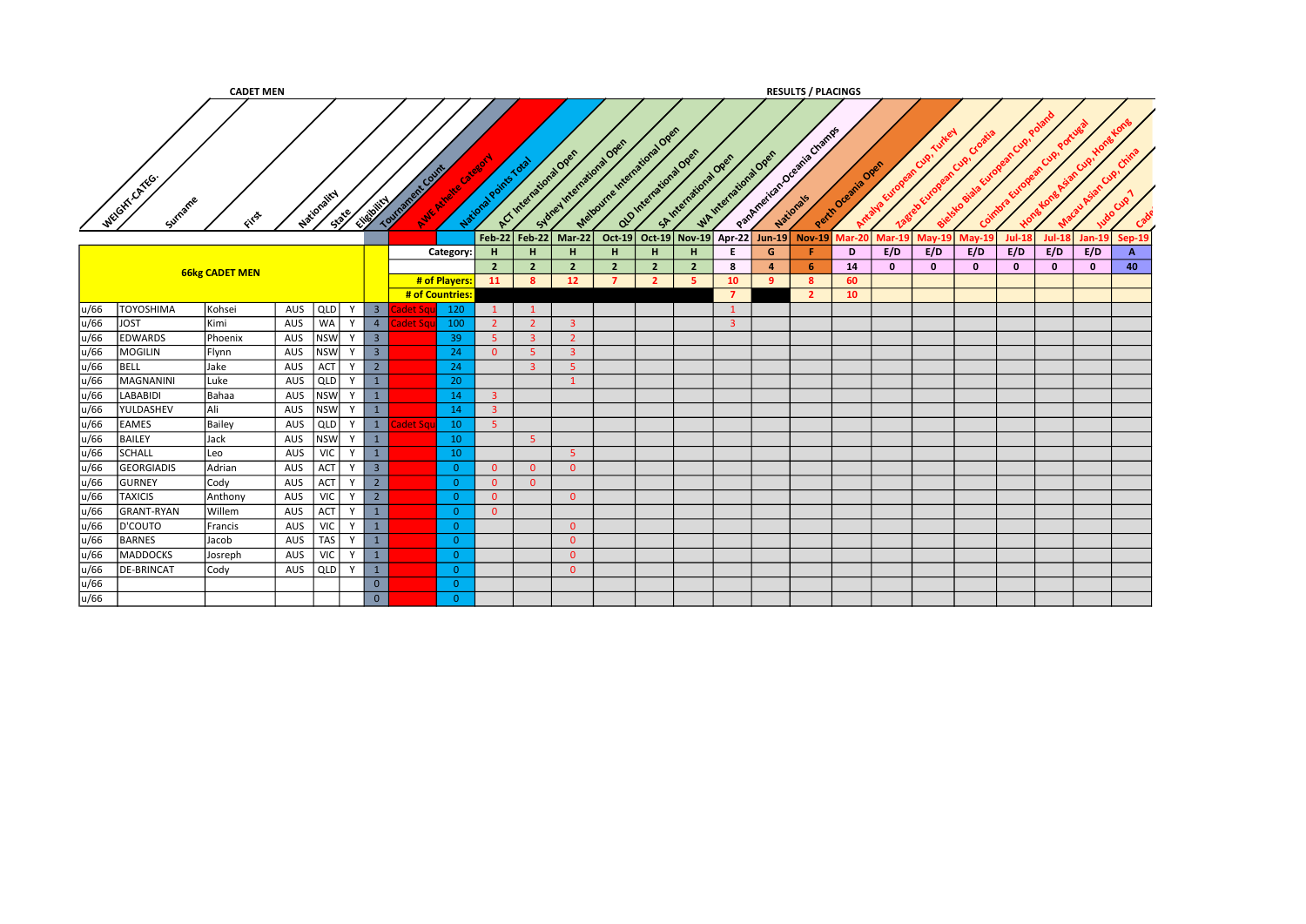|              |                               | <b>CADET MEN</b>      |            |                         |              |                         |        |                            |                      |                                                 |                                  |                                  |                                                         |                |                        |                                                 |               | <b>RESULTS / PLACINGS</b>                                |               |              |                           |                         |          |              |              |               |
|--------------|-------------------------------|-----------------------|------------|-------------------------|--------------|-------------------------|--------|----------------------------|----------------------|-------------------------------------------------|----------------------------------|----------------------------------|---------------------------------------------------------|----------------|------------------------|-------------------------------------------------|---------------|----------------------------------------------------------|---------------|--------------|---------------------------|-------------------------|----------|--------------|--------------|---------------|
|              | WEIGHT-CATEG.<br>Surname      | GYS                   |            | Nationality<br>Spile    |              | Elizability             | Tourna | o.frk Count<br>Avic Michel |                      | ACT International Over<br>National Points Total |                                  |                                  | Mationne Indicational Open<br>Subrel International Open |                | old international Open | WAINTENT OFFICIAL OPEN<br>SA International Open |               | Partner identity of Deeping Change<br>Perth Oceania Ones | Antalva       |              | $\mathbf{c}^{\mathbf{s}}$ |                         |          |              |              |               |
|              |                               |                       |            |                         |              |                         |        |                            | $Feb-22$             | <b>Feb-22</b>                                   |                                  | Mar-22                           | Oct-19                                                  | Oct-19         | <b>Nov-19</b>          | Apr-22                                          | <b>Jun-19</b> | $Nov-19$                                                 | <b>Mar-20</b> | Mar-19       | /lav-19                   | Mav-19                  | Jul-18   | Jul-18       | Jan-19       | <b>Sep-19</b> |
|              |                               |                       |            |                         |              |                         |        | Category:                  | н.                   | н                                               |                                  | H                                | H                                                       | н.             | н                      | Е                                               | G             |                                                          | D             | E/D          | E/D                       | E/D                     | E/D      | E/D          | E/D          | $\mathbf{A}$  |
|              |                               | <b>66kg CADET MEN</b> |            |                         |              |                         |        |                            | $\overline{2}$       |                                                 | 2 <sup>2</sup>                   | $\overline{2}$                   | $\overline{2}$                                          | $\overline{2}$ | $\overline{2}$         | 8                                               | $\mathbf{a}$  | -6                                                       | 14            | $\mathbf{0}$ | $\mathbf{0}$              | $\overline{\mathbf{0}}$ | $\Omega$ | $\mathbf{0}$ | $\mathbf{0}$ | 40            |
|              |                               |                       |            |                         |              |                         |        | # of Players:              | 11                   | 8                                               |                                  | 12 <sup>2</sup>                  | $\overline{7}$                                          | $\overline{2}$ |                        | 10                                              | <b>q</b>      | -8                                                       | 60            |              |                           |                         |          |              |              |               |
|              |                               |                       |            |                         | $\mathsf{v}$ |                         |        | # of Countries:            |                      |                                                 |                                  |                                  |                                                         |                |                        |                                                 |               | $\overline{2}$                                           | 10            |              |                           |                         |          |              |              |               |
| u/66<br>u/66 | <b>TOYOSHIMA</b>              | Kohsei                | AUS        | QLD                     |              | 3 <sup>2</sup>          |        | 120                        |                      |                                                 |                                  |                                  |                                                         |                |                        |                                                 |               |                                                          |               |              |                           |                         |          |              |              |               |
| u/66         | <b>JOST</b><br><b>EDWARDS</b> | Kimi<br>Phoenix       | AUS<br>AUS | <b>WA</b><br><b>NSW</b> | Y            | 4<br>3 <sup>7</sup>     | det Sq | 100<br>39                  | $\overline{2}$<br>-5 |                                                 | 2 <sup>1</sup><br>$\overline{3}$ | $\overline{3}$<br>$\overline{2}$ |                                                         |                |                        |                                                 |               |                                                          |               |              |                           |                         |          |              |              |               |
| u/66         | <b>MOGILIN</b>                | Flynn                 | AUS        | <b>NSW</b>              | Y            | $\overline{\mathbf{3}}$ |        | 24                         | $\Omega$             | 5 <sup>2</sup>                                  |                                  | $\overline{\mathbf{3}}$          |                                                         |                |                        |                                                 |               |                                                          |               |              |                           |                         |          |              |              |               |
| u/66         | BELL                          | Jake                  | AUS        | ACT                     | <b>V</b>     | $2^{\circ}$             |        | 24                         |                      | $\overline{3}$                                  |                                  | 5 <sup>1</sup>                   |                                                         |                |                        |                                                 |               |                                                          |               |              |                           |                         |          |              |              |               |
| u/66         | MAGNANINI                     | Luke                  | AUS        | QLD                     | Y            | $\mathbf{1}$            |        | 20                         |                      |                                                 |                                  | $\mathbf{1}$                     |                                                         |                |                        |                                                 |               |                                                          |               |              |                           |                         |          |              |              |               |
| u/66         | <b>LABABIDI</b>               | Bahaa                 | AUS        | <b>NSW</b>              | Y            | 1                       |        | 14                         | 3 <sup>2</sup>       |                                                 |                                  |                                  |                                                         |                |                        |                                                 |               |                                                          |               |              |                           |                         |          |              |              |               |
| u/66         | YULDASHEV                     | lAli                  | AUS        | <b>NSW</b>              | <b>V</b>     | 1                       |        | 14                         | $\overline{3}$       |                                                 |                                  |                                  |                                                         |                |                        |                                                 |               |                                                          |               |              |                           |                         |          |              |              |               |
| u/66         | <b>EAMES</b>                  | Bailey                | AUS        | QLD                     | Y            | 1                       | let Sq | 10                         | -5.                  |                                                 |                                  |                                  |                                                         |                |                        |                                                 |               |                                                          |               |              |                           |                         |          |              |              |               |
| u/66         | <b>BAILEY</b>                 | Jack                  | AUS        | <b>NSW</b>              |              | $\mathbf{1}$            |        | 10                         |                      | 5 <sup>°</sup>                                  |                                  |                                  |                                                         |                |                        |                                                 |               |                                                          |               |              |                           |                         |          |              |              |               |
| u/66         | SCHALL                        | Leo                   | AUS        | <b>VIC</b>              | $\mathsf{v}$ | $\mathbf{1}$            |        | 10                         |                      |                                                 |                                  | 5                                |                                                         |                |                        |                                                 |               |                                                          |               |              |                           |                         |          |              |              |               |
| u/66         | <b>GEORGIADIS</b>             | Adrian                | AUS        | ACT                     | $\mathbf v$  | $\overline{3}$          |        | $\overline{0}$             | $\overline{0}$       | $\overline{0}$                                  |                                  | $\overline{0}$                   |                                                         |                |                        |                                                 |               |                                                          |               |              |                           |                         |          |              |              |               |
| u/66         | <b>GURNEY</b>                 | Cody                  | AUS        | ACT                     | Y            | $\overline{2}$          |        | $\Omega$                   | $\overline{0}$       |                                                 | $\overline{0}$                   |                                  |                                                         |                |                        |                                                 |               |                                                          |               |              |                           |                         |          |              |              |               |
| u/66         | <b>TAXICIS</b>                | Anthony               | AUS        | <b>VIC</b>              | Y            | $\overline{2}$          |        | $\Omega$                   | $\overline{0}$       |                                                 |                                  | $\overline{0}$                   |                                                         |                |                        |                                                 |               |                                                          |               |              |                           |                         |          |              |              |               |
| u/66         | <b>GRANT-RYAN</b>             | <b>Willem</b>         | AUS        | ACT                     | Y            | 1                       |        | $\overline{0}$             | $\Omega$             |                                                 |                                  |                                  |                                                         |                |                        |                                                 |               |                                                          |               |              |                           |                         |          |              |              |               |
| u/66         | D'COUTO                       | Francis               | AUS        | <b>VIC</b>              | Y            | $\mathbf{1}$            |        | $\Omega$                   |                      |                                                 |                                  | $\overline{0}$                   |                                                         |                |                        |                                                 |               |                                                          |               |              |                           |                         |          |              |              |               |
| u/66         | <b>BARNES</b>                 | Jacob                 | AUS        | <b>TAS</b>              | Y            | $\mathbf{1}$            |        | $\overline{0}$             |                      |                                                 |                                  | $\overline{0}$                   |                                                         |                |                        |                                                 |               |                                                          |               |              |                           |                         |          |              |              |               |
| u/66         | MADDOCKS                      | Josreph               | AUS        | VIC                     | Y            | $\mathbf{1}$            |        | $\Omega$                   |                      |                                                 |                                  | $\overline{0}$                   |                                                         |                |                        |                                                 |               |                                                          |               |              |                           |                         |          |              |              |               |
| u/66         | <b>DE-BRINCAT</b>             | Cody                  | AUS        | QLD                     | Y            | $\mathbf{1}$            |        | $\overline{0}$             |                      |                                                 |                                  | $\overline{0}$                   |                                                         |                |                        |                                                 |               |                                                          |               |              |                           |                         |          |              |              |               |
| u/66         |                               |                       |            |                         |              | $\overline{0}$          |        | $\Omega$                   |                      |                                                 |                                  |                                  |                                                         |                |                        |                                                 |               |                                                          |               |              |                           |                         |          |              |              |               |
| u/66         |                               |                       |            |                         |              | $\overline{0}$          |        | $\Omega$                   |                      |                                                 |                                  |                                  |                                                         |                |                        |                                                 |               |                                                          |               |              |                           |                         |          |              |              |               |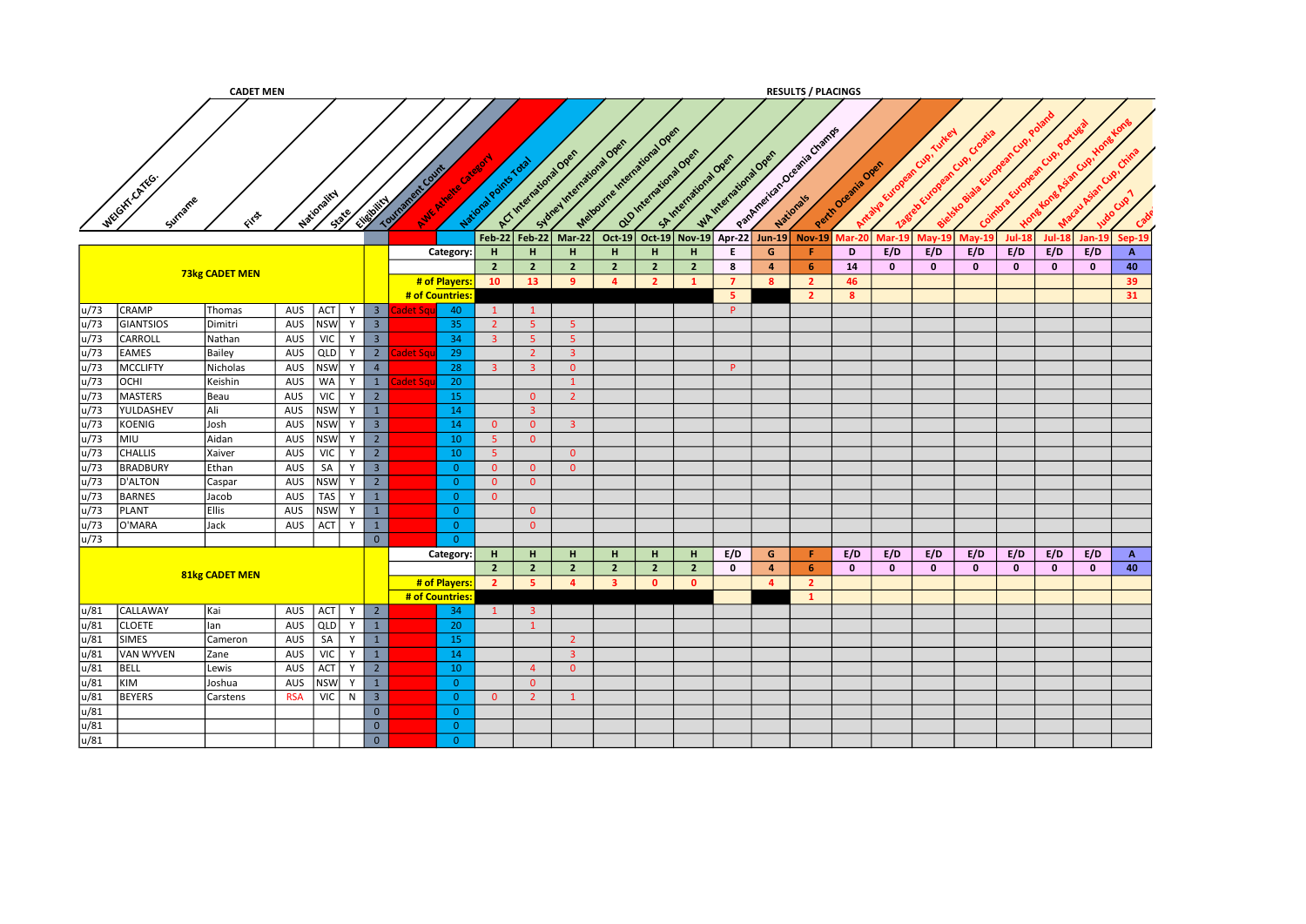|                     |                  | <b>CADET MEN</b>      |            |                       |           |                         |                                       |                       |                         |                           |                             |                      |                       |                  |                | <b>RESULTS / PLACINGS</b>                 |                   |              |              |                       |              |               |               |                |
|---------------------|------------------|-----------------------|------------|-----------------------|-----------|-------------------------|---------------------------------------|-----------------------|-------------------------|---------------------------|-----------------------------|----------------------|-----------------------|------------------|----------------|-------------------------------------------|-------------------|--------------|--------------|-----------------------|--------------|---------------|---------------|----------------|
|                     |                  |                       |            |                       |           |                         |                                       |                       |                         | Sidney International Over | Matourne Article and One of |                      |                       |                  |                | Partner (2016) Greening Channels          |                   |              | Cup!         | Cup.                  |              |               | Ó             | ଙ              |
| WEGITTCATEG         | Surname          | File                  |            | Mationality<br>State/ | Elistoire |                         | Tourisment Cutting<br>Ave Avale Citat | National Points Total |                         | ACT International Open    |                             | alamentaratoral open | SA International Open | Whitenstons Open |                |                                           | Perih Oremia Oren | Antalya Euro | SerebEur     | ielsko Bic<br>Coimbra |              |               |               | Cup            |
|                     |                  |                       |            |                       |           |                         |                                       | <b>Feb-22</b>         | $Feb-22$                | Mar-22                    |                             |                      |                       |                  |                | Oct-19 Oct-19 Nov-19 Apr-22 Jun-19 Nov-19 | Mar-20            | $Mar-19$     | $M$ ay-19    | $May-19$              | $Jul-18$     | <b>Jul-18</b> | <b>Jan-19</b> | <b>Sep-19</b>  |
|                     |                  |                       |            |                       |           |                         | Category:                             | H                     | H                       | H                         | H                           | H                    | H                     | E.               | G              | Æ.                                        | D                 | E/D          | E/D          | E/D                   | E/D          | E/D           | E/D           | $\overline{A}$ |
|                     |                  | <b>73kg CADET MEN</b> |            |                       |           |                         |                                       | $2^{\circ}$           | $\overline{2}$          | $\overline{2}$            | $\overline{2}$              | $\overline{2}$       | $\overline{2}$        | 8                | $\overline{a}$ | -6                                        | 14                | $\mathbf{0}$ | $\bf{0}$     | $\mathbf{0}$          | $\mathbf{0}$ | $\mathbf{0}$  | $\mathbf{0}$  | 40             |
|                     |                  |                       |            |                       |           |                         | # of Players:                         | 10                    | 13                      | -9                        | $\overline{4}$              | $\overline{2}$       |                       | $\overline{7}$   | 8              | $\overline{2}$                            | 46                |              |              |                       |              |               |               | 39             |
|                     |                  |                       |            |                       |           |                         | # of Countries                        |                       |                         |                           |                             |                      |                       | 5                |                | $\overline{2}$                            | 8                 |              |              |                       |              |               |               | 31             |
| u/73                | <b>CRAMP</b>     | Thomas                | AUS ACT    |                       | Y         | 3 <sup>1</sup>          | 40<br>adet Sq                         | $\mathbf{1}$          | $\mathbf{1}$            |                           |                             |                      |                       | P                |                |                                           |                   |              |              |                       |              |               |               |                |
| u/73                | <b>GIANTSIOS</b> | Dimitri               | AUS        | <b>NSW</b>            | Y         | $\overline{\mathbf{3}}$ | 35                                    | $2^{\circ}$           | 5 <sup>°</sup>          | 5 <sup>°</sup>            |                             |                      |                       |                  |                |                                           |                   |              |              |                       |              |               |               |                |
| u/73                | CARROLL          | Nathan                | AUS        | <b>VIC</b>            | Y         | $\overline{\mathbf{3}}$ | 34                                    | $\overline{3}$        | 5 <sub>o</sub>          | 5 <sub>1</sub>            |                             |                      |                       |                  |                |                                           |                   |              |              |                       |              |               |               |                |
| u/73                | <b>EAMES</b>     | Bailey                | AUS        | <b>QLD</b>            | Y         | $\overline{2}$          | 29                                    |                       | $\overline{2}$          | 3 <sup>1</sup>            |                             |                      |                       |                  |                |                                           |                   |              |              |                       |              |               |               |                |
| u/73                | <b>MCCLIFTY</b>  | Nicholas              | AUS        | <b>NSW</b>            | Y         | $\overline{4}$          | 28                                    | 3 <sup>1</sup>        | $\overline{\mathbf{3}}$ | $\overline{0}$            |                             |                      |                       | <b>P</b>         |                |                                           |                   |              |              |                       |              |               |               |                |
| u/73<br><b>OCHI</b> |                  | Keishin               | AUS        | <b>WA</b>             | Y         | $\mathbf{1}$            | 20<br>et Sq                           |                       |                         | $\mathbf{1}$              |                             |                      |                       |                  |                |                                           |                   |              |              |                       |              |               |               |                |
| u/73                | <b>MASTERS</b>   | Beau                  | AUS        | VIC                   | Y         | $\overline{2}$          | 15                                    |                       | $\overline{0}$          | $\overline{2}$            |                             |                      |                       |                  |                |                                           |                   |              |              |                       |              |               |               |                |
| u/73                | YULDASHEV        | Ali                   | AUS        | <b>NSW</b>            | Y         | $\mathbf{1}$            | 14                                    |                       | $\overline{3}$          |                           |                             |                      |                       |                  |                |                                           |                   |              |              |                       |              |               |               |                |
| u/73                | KOENIG           | Josh                  | AUS        | <b>NSW</b>            | Y         | 3 <sup>1</sup>          | 14                                    | $\overline{0}$        | $\overline{0}$          | 3 <sup>1</sup>            |                             |                      |                       |                  |                |                                           |                   |              |              |                       |              |               |               |                |
| u/73<br>MIU         |                  | Aidan                 | AUS        | <b>NSW</b>            | Y         | $\overline{2}$          | 10                                    | 5 <sup>2</sup>        | $\overline{0}$          |                           |                             |                      |                       |                  |                |                                           |                   |              |              |                       |              |               |               |                |
| u/73                | <b>CHALLIS</b>   | Xaiver                | AUS        | <b>VIC</b>            | Y         | $2^{\circ}$             | 10                                    | 5 <sub>1</sub>        |                         | $\overline{0}$            |                             |                      |                       |                  |                |                                           |                   |              |              |                       |              |               |               |                |
| u/73                | <b>BRADBURY</b>  | Ethan                 | AUS        | SA                    | Y         | $\overline{\mathbf{3}}$ | $\overline{0}$                        | $\overline{0}$        | $\overline{0}$          | $\overline{0}$            |                             |                      |                       |                  |                |                                           |                   |              |              |                       |              |               |               |                |
| u/73                | D'ALTON          | Caspar                | AUS        | <b>NSW</b>            | Y         | $\overline{2}$          | $\overline{0}$                        | $\overline{0}$        | $\overline{0}$          |                           |                             |                      |                       |                  |                |                                           |                   |              |              |                       |              |               |               |                |
| u/73                | <b>BARNES</b>    | Jacob                 | AUS        | <b>TAS</b>            | Y         | $\mathbf{1}$            | $\overline{0}$                        | $\overline{0}$        |                         |                           |                             |                      |                       |                  |                |                                           |                   |              |              |                       |              |               |               |                |
| u/73                | <b>PLANT</b>     | <b>Ellis</b>          | AUS        | <b>NSW</b>            | Y         | $\mathbf{1}$            | $\overline{0}$                        |                       | $\overline{0}$          |                           |                             |                      |                       |                  |                |                                           |                   |              |              |                       |              |               |               |                |
| u/73                | O'MARA           | Jack                  | AUS        | ACT                   | Y         | $\mathbf{1}$            | $\overline{0}$                        |                       | $\overline{0}$          |                           |                             |                      |                       |                  |                |                                           |                   |              |              |                       |              |               |               |                |
| u/73                |                  |                       |            |                       |           | $\overline{0}$          | $\overline{0}$                        |                       |                         |                           |                             |                      |                       |                  |                |                                           |                   |              |              |                       |              |               |               |                |
|                     |                  |                       |            |                       |           |                         | Category:                             | H                     | H.                      | H.                        | H.                          | H.                   | H.                    | E/D              | G              | Æ.                                        | E/D               | E/D          | E/D          | E/D                   | E/D          | E/D           | E/D           | $\mathbf{A}$   |
|                     |                  | 81kg CADET MEN        |            |                       |           |                         |                                       | 2 <sup>7</sup>        | $\overline{2}$          | $\overline{2}$            | $\overline{2}$              | $\overline{2}$       | $\overline{2}$        | $\mathbf 0$      | $\overline{4}$ | -6                                        | $\mathbf{0}$      | $\mathbf{0}$ | $\mathbf{0}$ | $\mathbf{0}$          | $\mathbf{0}$ | $\mathbf{0}$  | $\mathbf 0$   | 40             |
|                     |                  |                       |            |                       |           |                         | # of Players:                         | 2 <sup>2</sup>        | -5                      | $\overline{a}$            | $\overline{\mathbf{3}}$     | $\mathbf{0}$         | $\mathbf{0}$          |                  | $\overline{4}$ | $\overline{2}$                            |                   |              |              |                       |              |               |               |                |
|                     |                  |                       |            |                       |           |                         | # of Countries                        |                       |                         |                           |                             |                      |                       |                  |                | $\mathbf{1}$                              |                   |              |              |                       |              |               |               |                |
| u/81                | CALLAWAY         | Kai                   | AUS ACT    |                       | Y         | $\overline{2}$          | 34                                    | $\mathbf{1}$          | $\overline{\mathbf{3}}$ |                           |                             |                      |                       |                  |                |                                           |                   |              |              |                       |              |               |               |                |
| u/81                | <b>CLOETE</b>    | lan                   | AUS        | <b>QLD</b>            | Y         | $1\,$                   | 20                                    |                       | $\mathbf{1}$            |                           |                             |                      |                       |                  |                |                                           |                   |              |              |                       |              |               |               |                |
| u/81                | <b>SIMES</b>     | Cameron               | AUS        | SA                    |           | $\mathbf{1}$            | 15                                    |                       |                         | $\overline{2}$            |                             |                      |                       |                  |                |                                           |                   |              |              |                       |              |               |               |                |
| u/81                | <b>VAN WYVEN</b> | Zane                  | AUS        | <b>VIC</b>            | Y         | $\mathbf{1}$            | 14                                    |                       |                         | 3 <sup>1</sup>            |                             |                      |                       |                  |                |                                           |                   |              |              |                       |              |               |               |                |
| u/81<br><b>BELL</b> |                  | Lewis                 | AUS        | ACT                   | Y         | $\overline{2}$          | 10                                    |                       | $\overline{4}$          | $\overline{0}$            |                             |                      |                       |                  |                |                                           |                   |              |              |                       |              |               |               |                |
| u/81<br>KIM         |                  | Joshua                | AUS        | <b>NSW</b>            | Y         | $1\,$                   | $\overline{0}$                        |                       | $\overline{0}$          |                           |                             |                      |                       |                  |                |                                           |                   |              |              |                       |              |               |               |                |
| u/81                | <b>BEYERS</b>    | Carstens              | <b>RSA</b> | VIC                   | N         | $\overline{\mathbf{3}}$ | $\overline{0}$                        | $\overline{0}$        | $\overline{2}$          | $\mathbf{1}$              |                             |                      |                       |                  |                |                                           |                   |              |              |                       |              |               |               |                |
| u/81                |                  |                       |            |                       |           | $\overline{0}$          | $\overline{0}$                        |                       |                         |                           |                             |                      |                       |                  |                |                                           |                   |              |              |                       |              |               |               |                |
| u/81                |                  |                       |            |                       |           | $\overline{0}$          | $\overline{0}$                        |                       |                         |                           |                             |                      |                       |                  |                |                                           |                   |              |              |                       |              |               |               |                |
| u/81                |                  |                       |            |                       |           | $\overline{0}$          | $\overline{0}$                        |                       |                         |                           |                             |                      |                       |                  |                |                                           |                   |              |              |                       |              |               |               |                |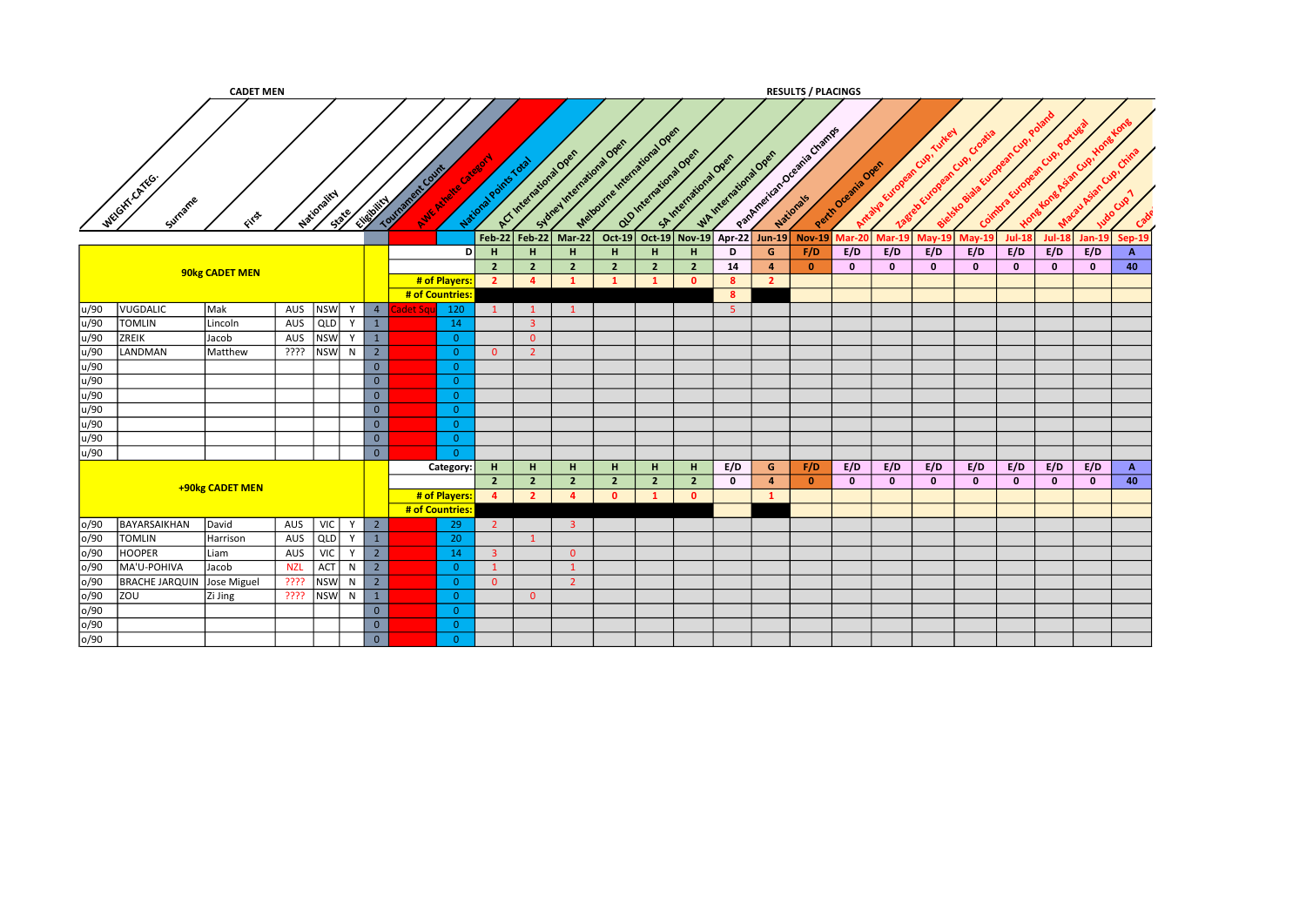|      |                            | <b>CADET MEN</b> |            |                      |                         |                  |                    |                       |                        |                         |                                                 |                        |                         |                       |                  | <b>RESULTS / PLACINGS</b>     |                   |                |                           |               |                            |              |              |              |
|------|----------------------------|------------------|------------|----------------------|-------------------------|------------------|--------------------|-----------------------|------------------------|-------------------------|-------------------------------------------------|------------------------|-------------------------|-----------------------|------------------|-------------------------------|-------------------|----------------|---------------------------|---------------|----------------------------|--------------|--------------|--------------|
|      | WEGIT CATEG.<br>Surrame    | ENST             |            | Nationality<br>State | Elizabetical            | Tourisment Court | Aure Mivele Citate | National Points Total | ACT International Open |                         | Mationine Indicate Open<br>Subset Meetaway Over | Q10 International Open |                         | SA International Open | WAINTENDENT OPEN | Patement of Check of Check of | Perih Oremia Over | Antalya Europe | ean Cup.<br>38tele Europe | Cro<br>n Cup! | n Cup.<br>Coimbra.<br>wone |              |              |              |
|      |                            |                  |            |                      |                         |                  |                    | $Feb-22$              | Feb-22                 | $Mar-22$                | $Oct-19$                                        |                        | Oct-19 Nov-19           |                       | Apr-22 Jun-19    | <b>Nov-19</b>                 | Aar-20            | Mar-19         | May-19                    | May-19        | <b>Jul-18</b>              | $Jul-18$     | $Jan-19$     | Sep-19       |
|      |                            |                  |            |                      |                         |                  |                    | н<br>DI               | H                      | H                       | H                                               | н                      | н                       | D                     | G                | F/D                           | E/D               | E/D            | E/D                       | E/D           | E/D                        | E/D          | E/D          | A            |
|      |                            |                  |            |                      |                         |                  |                    | $\overline{2}$        | $\overline{2}$         | $\overline{2}$          | $\overline{2}$                                  | $\overline{2}$         | $\overline{2}$          | 14                    | $\overline{4}$   | $\mathbf{0}$                  | $\mathbf{0}$      | $\mathbf{0}$   | $\mathbf{0}$              | $\mathbf{0}$  | $\mathbf{0}$               | $\mathbf{0}$ | $\mathbf{0}$ | 40           |
|      |                            | 90kg CADET MEN   |            |                      |                         |                  | # of Players:      | $\overline{2}$        | $\overline{a}$         | $\mathbf{1}$            | $\overline{1}$                                  | $\mathbf{1}$           | $\overline{0}$          | $\boldsymbol{8}$      | $\overline{2}$   |                               |                   |                |                           |               |                            |              |              |              |
|      |                            |                  |            |                      |                         |                  | # of Countries     |                       |                        |                         |                                                 |                        |                         | 8                     |                  |                               |                   |                |                           |               |                            |              |              |              |
| u/90 | VUGDALIC                   | Mak              | AUS        | <b>NSW</b><br>Y      | $\overline{4}$          | det Sa           | 120                | $\mathbf{1}$          | $\mathbf{1}$           | $\mathbf{1}$            |                                                 |                        |                         | 5 <sup>1</sup>        |                  |                               |                   |                |                           |               |                            |              |              |              |
| u/90 | <b>TOMLIN</b>              | Lincoln          | AUS        | QLD<br>Y             | $\mathbf{1}$            |                  | 14                 |                       | $\overline{3}$         |                         |                                                 |                        |                         |                       |                  |                               |                   |                |                           |               |                            |              |              |              |
| u/90 | ZREIK                      | Jacob            | AUS        | <b>NSW</b><br>Y      | $\mathbf{1}$            |                  | $\overline{0}$     |                       | $\overline{0}$         |                         |                                                 |                        |                         |                       |                  |                               |                   |                |                           |               |                            |              |              |              |
| u/90 | LANDMAN                    | Matthew          | ????       | <b>NSW</b><br>N      | $\overline{2}$          |                  | $\overline{0}$     | $\overline{0}$        | $\overline{2}$         |                         |                                                 |                        |                         |                       |                  |                               |                   |                |                           |               |                            |              |              |              |
| u/90 |                            |                  |            |                      | $\overline{0}$          |                  | $\overline{0}$     |                       |                        |                         |                                                 |                        |                         |                       |                  |                               |                   |                |                           |               |                            |              |              |              |
| u/90 |                            |                  |            |                      | $\overline{0}$          |                  | $\Omega$           |                       |                        |                         |                                                 |                        |                         |                       |                  |                               |                   |                |                           |               |                            |              |              |              |
| u/90 |                            |                  |            |                      | $\overline{0}$          |                  | $\overline{0}$     |                       |                        |                         |                                                 |                        |                         |                       |                  |                               |                   |                |                           |               |                            |              |              |              |
| u/90 |                            |                  |            |                      | $\overline{0}$          |                  | $\overline{0}$     |                       |                        |                         |                                                 |                        |                         |                       |                  |                               |                   |                |                           |               |                            |              |              |              |
| u/90 |                            |                  |            |                      | $\overline{0}$          |                  | $\overline{0}$     |                       |                        |                         |                                                 |                        |                         |                       |                  |                               |                   |                |                           |               |                            |              |              |              |
| u/90 |                            |                  |            |                      | $\overline{0}$          |                  | $\overline{0}$     |                       |                        |                         |                                                 |                        |                         |                       |                  |                               |                   |                |                           |               |                            |              |              |              |
| u/90 |                            |                  |            |                      | $\overline{0}$          |                  | $\overline{0}$     |                       |                        |                         |                                                 |                        |                         |                       |                  |                               |                   |                |                           |               |                            |              |              |              |
|      |                            |                  |            |                      |                         |                  | Category:          | H                     | H                      | H                       | H.                                              | H                      | H.                      | E/D                   | G                | F/D                           | E/D               | E/D            | E/D                       | E/D           | E/D                        | E/D          | E/D          | $\mathbf{A}$ |
|      |                            | +90kg CADET MEN  |            |                      |                         |                  |                    | 2 <sup>7</sup>        | $\overline{2}$         | $\overline{2}$          | $\overline{2}$                                  | $\overline{2}$         | $\overline{2}$          | $\mathbf 0$           | $\overline{a}$   | $\bullet$                     | $\mathbf{0}$      | $\mathbf{0}$   | $\mathbf{0}$              | $\mathbf{0}$  | $\mathbf{0}$               | $\mathbf{0}$ | $\mathbf{0}$ | 40           |
|      |                            |                  |            |                      |                         |                  | # of Players:      | $\overline{4}$        | $\overline{2}$         | $\overline{a}$          | $\mathbf{0}$                                    |                        | $\overline{\mathbf{0}}$ |                       | $\mathbf{1}$     |                               |                   |                |                           |               |                            |              |              |              |
|      |                            |                  |            |                      |                         |                  | # of Countries:    |                       |                        |                         |                                                 |                        |                         |                       |                  |                               |                   |                |                           |               |                            |              |              |              |
| o/90 | BAYARSAIKHAN               | David            | AUS        | <b>VIC</b><br>Y      | $\overline{2}$          |                  | 29                 | $\overline{2}$        |                        | $\overline{\mathbf{3}}$ |                                                 |                        |                         |                       |                  |                               |                   |                |                           |               |                            |              |              |              |
| o/90 | <b>TOMLIN</b>              | Harrison         | AUS        | QLD<br>Y             | 1                       |                  | 20                 |                       | $\mathbf{1}$           |                         |                                                 |                        |                         |                       |                  |                               |                   |                |                           |               |                            |              |              |              |
| o/90 | <b>HOOPER</b>              | Liam             | AUS        | <b>VIC</b><br>Y      | $\overline{2}$          |                  | 14                 | $\overline{3}$        |                        | $\overline{0}$          |                                                 |                        |                         |                       |                  |                               |                   |                |                           |               |                            |              |              |              |
| o/90 | MA'U-POHIVA                | Jacob            | <b>NZL</b> | ACT<br>N             | $2^{\circ}$             |                  | $\overline{0}$     | $\mathbf{1}$          |                        | $\mathbf{1}$            |                                                 |                        |                         |                       |                  |                               |                   |                |                           |               |                            |              |              |              |
| o/90 | BRACHE JARQUIN Jose Miguel |                  | ????       | <b>NSW</b><br>N      | $2^{\circ}$             |                  | $\overline{0}$     | $\overline{0}$        |                        | $\overline{2}$          |                                                 |                        |                         |                       |                  |                               |                   |                |                           |               |                            |              |              |              |
| o/90 | ZOU                        | Zi Jing          | ????       | <b>NSW</b><br>N      | $\mathbf{1}$            |                  | $\overline{0}$     |                       | $\overline{0}$         |                         |                                                 |                        |                         |                       |                  |                               |                   |                |                           |               |                            |              |              |              |
| o/90 |                            |                  |            |                      | $\mathbf 0$             |                  | $\overline{0}$     |                       |                        |                         |                                                 |                        |                         |                       |                  |                               |                   |                |                           |               |                            |              |              |              |
| o/90 |                            |                  |            |                      | $\overline{\mathbf{0}}$ |                  | $\bullet$          |                       |                        |                         |                                                 |                        |                         |                       |                  |                               |                   |                |                           |               |                            |              |              |              |
| o/90 |                            |                  |            |                      | $\overline{0}$          |                  | $\overline{0}$     |                       |                        |                         |                                                 |                        |                         |                       |                  |                               |                   |                |                           |               |                            |              |              |              |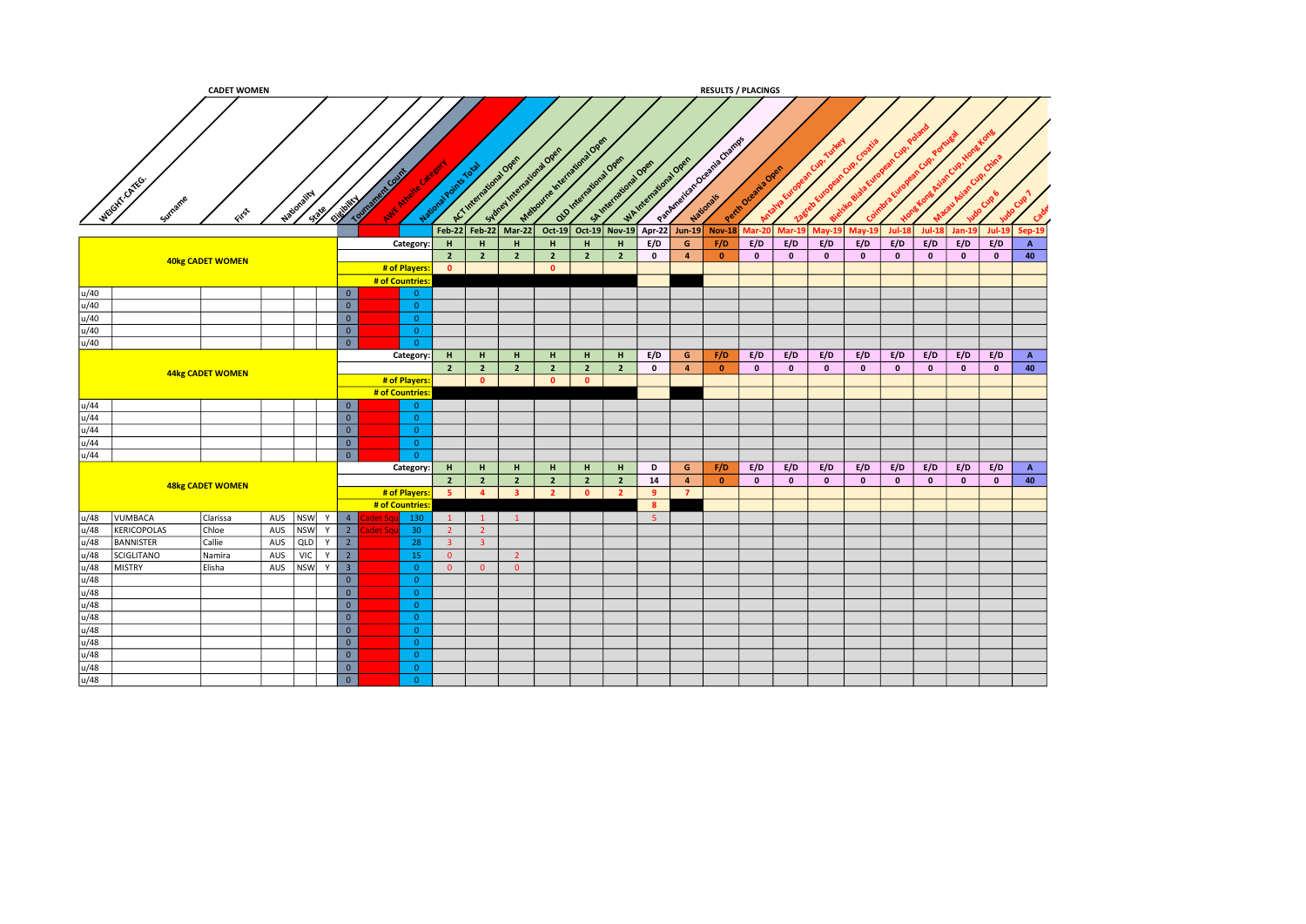|              |                       | <b>CADET WOMEN</b>      |     |                          |                                  |                  |                                  |                |                        |                           |                         |                                                 |                     |                  |                                | <b>RESULTS / PLACINGS</b>    |                    |                         |               |              |              |              |              |               |              |
|--------------|-----------------------|-------------------------|-----|--------------------------|----------------------------------|------------------|----------------------------------|----------------|------------------------|---------------------------|-------------------------|-------------------------------------------------|---------------------|------------------|--------------------------------|------------------------------|--------------------|-------------------------|---------------|--------------|--------------|--------------|--------------|---------------|--------------|
|              | WEBITCATES<br>Surname | File                    |     | Nationality<br>$35^{38}$ | City Montes                      | Tourisment Count |                                  | National Pot   | ACT International Open | Sylver International Over |                         | Material Indiana Dree<br>Q10 International Open | Shirtemational Over | WAINTENTWORKDORE |                                | Parkmentary Creeging Charles | Perth Oceania Over | <b>Tralya Eur</b>       |               |              |              |              |              |               |              |
|              |                       |                         |     |                          |                                  |                  |                                  |                | Feb-22 Feb-22          | Mar-22                    |                         | Oct-19 Oct-19 Nov-19 Apr-22 Jun-19              |                     |                  |                                | <b>Nov-18</b>                | $Mar-20$           | $Mar-1$                 | <b>Mav-19</b> | $May-19$     | $Jul-18$     | $Jul-18$     | $Jan-19$     | <b>Jul-19</b> | Sep-19       |
|              |                       |                         |     |                          |                                  |                  | Category:                        | H              | $\mathbf H$            | H                         | H                       | H                                               | H                   | E/D              | $\mathsf{G}$                   | F/D                          | E/D                | E/D                     | E/D           | E/D          | E/D          | E/D          | E/D          | E/D           | $\mathbf{A}$ |
|              |                       | <b>40kg CADET WOMEN</b> |     |                          |                                  |                  |                                  | $\overline{2}$ | $\overline{2}$         | $2^{\circ}$               | $\overline{2}$          | $\overline{2}$                                  | $\overline{2}$      | $\mathbf{0}$     | $\overline{4}$                 | $\bullet$                    | $\mathbf{0}$       | $\mathbf{0}$            | $\mathbf{0}$  | $\bullet$    | $\mathbf{0}$ | $\mathbf{0}$ | $\mathbf{0}$ | $\mathbf{0}$  | 40           |
|              |                       |                         |     |                          |                                  |                  | # of Players:                    | $\bullet$      |                        |                           | $\bullet$               |                                                 |                     |                  |                                |                              |                    |                         |               |              |              |              |              |               |              |
|              |                       |                         |     |                          |                                  |                  | # of Countries                   |                |                        |                           |                         |                                                 |                     |                  |                                |                              |                    |                         |               |              |              |              |              |               |              |
| u/40         |                       |                         |     |                          | $\overline{0}$                   |                  | $\overline{\mathbf{0}}$          |                |                        |                           |                         |                                                 |                     |                  |                                |                              |                    |                         |               |              |              |              |              |               |              |
| u/40         |                       |                         |     |                          | $\overline{0}$                   |                  | $\overline{0}$                   |                |                        |                           |                         |                                                 |                     |                  |                                |                              |                    |                         |               |              |              |              |              |               |              |
| u/40<br>u/40 |                       |                         |     |                          | $\overline{0}$<br>$\overline{0}$ |                  | $\overline{\mathbf{0}}$          |                |                        |                           |                         |                                                 |                     |                  |                                |                              |                    |                         |               |              |              |              |              |               |              |
| u/40         |                       |                         |     |                          | $\overline{\circ}$               |                  | $\overline{0}$<br>$\overline{0}$ |                |                        |                           |                         |                                                 |                     |                  |                                |                              |                    |                         |               |              |              |              |              |               |              |
|              |                       |                         |     |                          |                                  |                  |                                  | H              |                        |                           |                         |                                                 |                     | E/D              |                                |                              | E/D                | E/D                     | E/D           | E/D          | E/D          | E/D          | E/D          | E/D           | $\mathbf{A}$ |
|              |                       |                         |     |                          |                                  |                  | Category:                        | $\overline{2}$ | H<br>$\overline{2}$    | H<br>$2^{\circ}$          | H<br>$\overline{2}$     | H<br>$\overline{2}$                             | H<br>$\overline{2}$ | $\mathbf 0$      | $\mathsf{G}$<br>$\overline{4}$ | F/D<br>$\bullet$             | $\mathbf{0}$       | $\overline{\mathbf{0}}$ | $\mathbf{0}$  | $\mathbf{0}$ | $\mathbf{0}$ | $\mathbf{0}$ | $\bullet$    | $\mathbf{0}$  | 40           |
|              |                       | 44kg CADET WOMEN        |     |                          |                                  |                  | # of Players:                    |                | $\bullet$              |                           | $\overline{\mathbf{0}}$ | $\bullet$                                       |                     |                  |                                |                              |                    |                         |               |              |              |              |              |               |              |
|              |                       |                         |     |                          |                                  |                  | # of Countries:                  |                |                        |                           |                         |                                                 |                     |                  |                                |                              |                    |                         |               |              |              |              |              |               |              |
| u/44         |                       |                         |     |                          | $\overline{0}$                   |                  | $\overline{0}$                   |                |                        |                           |                         |                                                 |                     |                  |                                |                              |                    |                         |               |              |              |              |              |               |              |
| u/44         |                       |                         |     |                          | $\overline{0}$                   |                  | $\overline{0}$                   |                |                        |                           |                         |                                                 |                     |                  |                                |                              |                    |                         |               |              |              |              |              |               |              |
| u/44         |                       |                         |     |                          | $\mathbf{0}$                     |                  | $\overline{0}$                   |                |                        |                           |                         |                                                 |                     |                  |                                |                              |                    |                         |               |              |              |              |              |               |              |
| u/44         |                       |                         |     |                          | $\bullet$                        |                  | $\overline{0}$                   |                |                        |                           |                         |                                                 |                     |                  |                                |                              |                    |                         |               |              |              |              |              |               |              |
| u/44         |                       |                         |     |                          | $\overline{\circ}$               |                  | $\overline{0}$                   |                |                        |                           |                         |                                                 |                     |                  |                                |                              |                    |                         |               |              |              |              |              |               |              |
|              |                       |                         |     |                          |                                  |                  | Category:                        | H              | H                      | H                         | H                       | H                                               | H                   | D                | G                              | F/D                          | E/D                | E/D                     | E/D           | E/D          | E/D          | E/D          | E/D          | E/D           | $\mathbf{A}$ |
|              |                       | 48kg CADET WOMEN        |     |                          |                                  |                  |                                  | $\overline{2}$ | $\overline{2}$         | $2^{\circ}$               | $\overline{2}$          | $2^{\circ}$                                     | $\overline{2}$      | 14               | $\overline{4}$                 | $\bullet$                    | $\mathbf{0}$       | $\bullet$               | $\mathbf{0}$  | $\bullet$    | $\mathbf{0}$ | $\bullet$    | $\bullet$    | $\mathbf{0}$  | 40           |
|              |                       |                         |     |                          |                                  |                  | # of Players:                    | $-5$           | $\overline{4}$         | $\overline{\mathbf{3}}$   | $\overline{2}$          | $\bullet$                                       | $\overline{2}$      | 9                | $\overline{7}$                 |                              |                    |                         |               |              |              |              |              |               |              |
|              |                       |                         |     |                          |                                  |                  | # of Countries:                  |                |                        |                           |                         |                                                 |                     | 8 <sup>2</sup>   |                                |                              |                    |                         |               |              |              |              |              |               |              |
| u/48         | VUMBACA               | Clarissa                |     | AUS NSW Y 4              |                                  | det Sc           | 130                              | $\mathbf{1}$   | $\vert 1 \vert$        | $\mathbf{1}$              |                         |                                                 |                     | $-5$             |                                |                              |                    |                         |               |              |              |              |              |               |              |
| u/48         | KERICOPOLAS           | Chloe                   | AUS | NSW Y 2                  |                                  | det S            | 30                               | $\overline{2}$ | $\overline{2}$         |                           |                         |                                                 |                     |                  |                                |                              |                    |                         |               |              |              |              |              |               |              |
| u/48         | <b>BANNISTER</b>      | Callie                  | AUS | QLD                      | $Y$ 2                            |                  | 28                               | $\overline{3}$ | $\overline{3}$         |                           |                         |                                                 |                     |                  |                                |                              |                    |                         |               |              |              |              |              |               |              |
| u/48         | <b>SCIGLITANO</b>     | Namira                  | AUS | VIC                      | $Y$ 2                            |                  | 15                               | $\overline{0}$ |                        | $\overline{2}$            |                         |                                                 |                     |                  |                                |                              |                    |                         |               |              |              |              |              |               |              |
| u/48         | <b>MISTRY</b>         | Elisha                  | AUS | NSW<br>Y                 | $\vert$ 3                        |                  | $\overline{\mathbf{0}}$          | $\overline{0}$ | $\overline{0}$         | $\overline{0}$            |                         |                                                 |                     |                  |                                |                              |                    |                         |               |              |              |              |              |               |              |
| u/48         |                       |                         |     |                          | $\overline{0}$                   |                  | $\overline{0}$                   |                |                        |                           |                         |                                                 |                     |                  |                                |                              |                    |                         |               |              |              |              |              |               |              |
| u/48         |                       |                         |     |                          | $\overline{\bullet}$             |                  | $\overline{0}$                   |                |                        |                           |                         |                                                 |                     |                  |                                |                              |                    |                         |               |              |              |              |              |               |              |
| u/48         |                       |                         |     |                          | $\overline{0}$                   |                  | $\overline{0}$                   |                |                        |                           |                         |                                                 |                     |                  |                                |                              |                    |                         |               |              |              |              |              |               |              |
| u/48         |                       |                         |     |                          | $\overline{\mathbf{0}}$          |                  | $\overline{0}$                   |                |                        |                           |                         |                                                 |                     |                  |                                |                              |                    |                         |               |              |              |              |              |               |              |
| u/48         |                       |                         |     |                          | $\overline{0}$                   |                  | $\overline{0}$                   |                |                        |                           |                         |                                                 |                     |                  |                                |                              |                    |                         |               |              |              |              |              |               |              |
| u/48         |                       |                         |     |                          | $\overline{\mathbf{0}}$          |                  | $\overline{0}$                   |                |                        |                           |                         |                                                 |                     |                  |                                |                              |                    |                         |               |              |              |              |              |               |              |
| u/48         |                       |                         |     |                          | $\overline{0}$                   |                  | $\overline{0}$                   |                |                        |                           |                         |                                                 |                     |                  |                                |                              |                    |                         |               |              |              |              |              |               |              |
| u/48         |                       |                         |     |                          | $\overline{0}$                   |                  | $\overline{0}$                   |                |                        |                           |                         |                                                 |                     |                  |                                |                              |                    |                         |               |              |              |              |              |               |              |
| u/48         |                       |                         |     |                          | $\overline{0}$                   |                  | $\overline{0}$                   |                |                        |                           |                         |                                                 |                     |                  |                                |                              |                    |                         |               |              |              |              |              |               |              |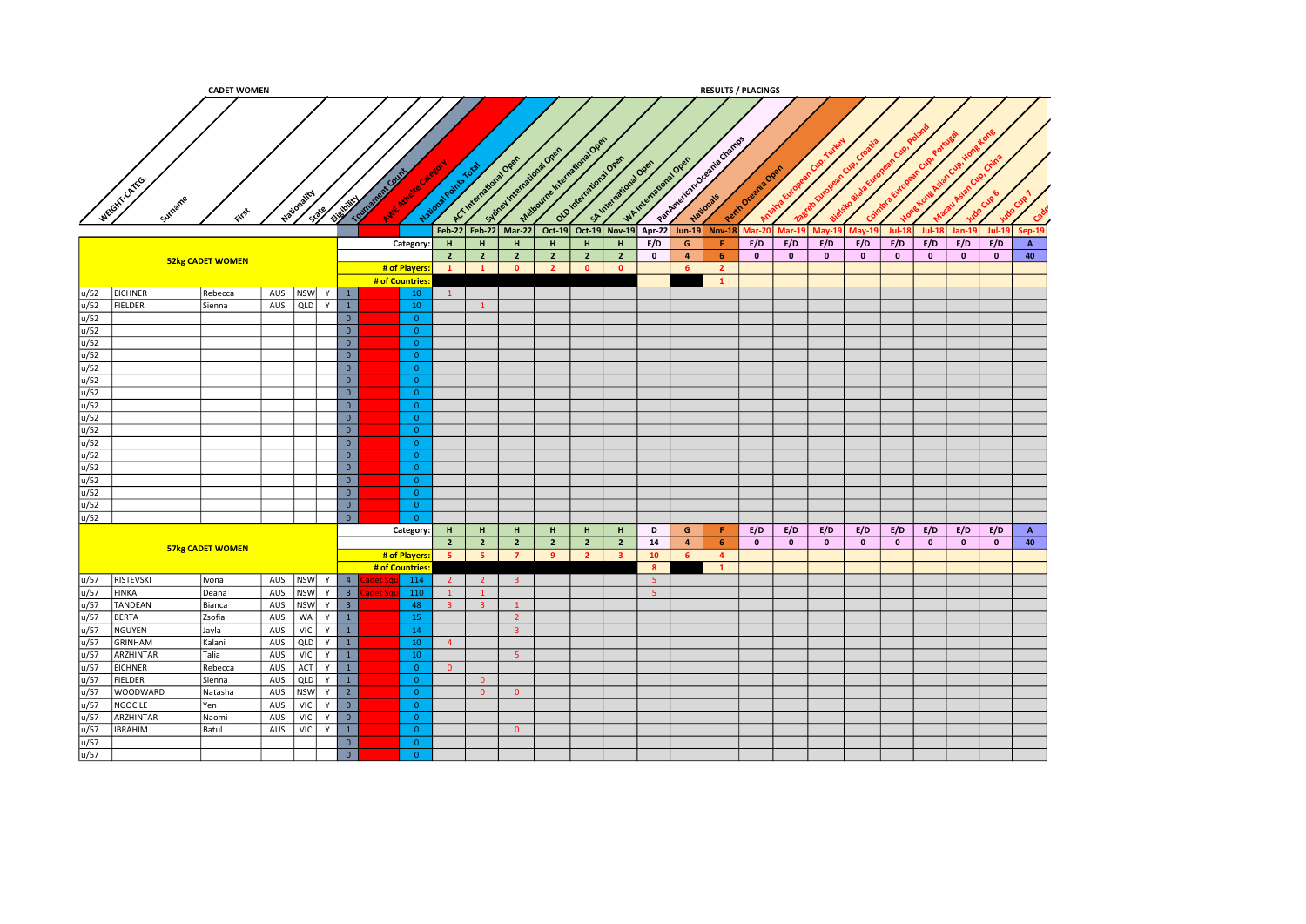|      |                 | <b>CADET WOMEN</b>      |               |     |      |                         |                 |                                   |                 |                        |                                                   |                                 |                |                                               |                         |                  | <b>RESULTS / PLACINGS</b>                                        |                   |                         |              |               |              |              |              |           |              |
|------|-----------------|-------------------------|---------------|-----|------|-------------------------|-----------------|-----------------------------------|-----------------|------------------------|---------------------------------------------------|---------------------------------|----------------|-----------------------------------------------|-------------------------|------------------|------------------------------------------------------------------|-------------------|-------------------------|--------------|---------------|--------------|--------------|--------------|-----------|--------------|
|      |                 |                         |               |     |      |                         |                 |                                   |                 |                        |                                                   |                                 |                |                                               |                         |                  |                                                                  |                   |                         |              |               |              |              |              |           |              |
|      | WEIGHT-CATEG.   | یجی                     | Nation.       |     | 1339 | Elizabeth V             | <b>Township</b> | nt Cou<br><b>MY AVE</b><br>Nation |                 | A.C.International Open | Sydney International Over<br>Feb-22 Feb-22 Mar-22 | Material Indiana Open<br>Oct-19 | national Ope   | SA International Oper<br>Oct-19 Nov-19 Apr-22 |                         | WAINTENTWORKDORE | Papine of the Contempt of Chemical<br>Jun-19 Nov-18 Mar-20 Mar-1 | Perth Oceania Ore |                         | $May-19$     | <b>May-19</b> | $Jul-13$     | $Jul-18$     | $Jan-19$     | $Jul-19$  | Sep-19       |
|      |                 |                         |               |     |      |                         |                 | Category:                         | H               | H                      | H                                                 | H                               | $\mathbf H$    | H                                             | E/D                     | $\mathsf{G}$     | Æ.                                                               | E/D               | E/D                     | E/D          | E/D           | E/D          | E/D          | E/D          | E/D       | $\mathbf{A}$ |
|      |                 | <b>52kg CADET WOMEN</b> |               |     |      |                         |                 |                                   | $\overline{2}$  | $\overline{2}$         | $\overline{2}$                                    | $\overline{2}$                  | $\overline{2}$ | $\overline{2}$                                | $\mathbf{0}$            | $\overline{4}$   | 6 <sup>1</sup>                                                   | $\bullet$         | $\overline{\mathbf{0}}$ | $\mathbf{0}$ | $\mathbf{0}$  | $\mathbf{0}$ | $\mathbf{0}$ | $\pmb{0}$    | $\bullet$ | 40           |
|      |                 |                         |               |     |      |                         |                 | # of Players:                     | $\mathbf{1}$    | $\mathbf{1}$           | $\bullet$                                         | $\overline{2}$                  | $\bullet$      | $\bullet$                                     |                         | 6 <sup>1</sup>   | $\overline{2}$                                                   |                   |                         |              |               |              |              |              |           |              |
|      |                 |                         |               |     |      |                         |                 | # of Countries                    |                 |                        |                                                   |                                 |                |                                               |                         |                  | $\mathbf{1}$                                                     |                   |                         |              |               |              |              |              |           |              |
| u/52 | <b>EICHNER</b>  | Rebecca                 | AUS NSW $Y$ 1 |     |      |                         |                 | 10                                | $\vert 1 \vert$ |                        |                                                   |                                 |                |                                               |                         |                  |                                                                  |                   |                         |              |               |              |              |              |           |              |
| u/52 | <b>FIELDER</b>  | Sienna                  | AUS           | QLD | Y    | $\overline{1}$          |                 | 10                                |                 | $\mathbf{1}$           |                                                   |                                 |                |                                               |                         |                  |                                                                  |                   |                         |              |               |              |              |              |           |              |
| u/52 |                 |                         |               |     |      | $\overline{0}$          |                 | $\overline{0}$                    |                 |                        |                                                   |                                 |                |                                               |                         |                  |                                                                  |                   |                         |              |               |              |              |              |           |              |
| u/52 |                 |                         |               |     |      | $\overline{0}$          |                 | $\overline{0}$                    |                 |                        |                                                   |                                 |                |                                               |                         |                  |                                                                  |                   |                         |              |               |              |              |              |           |              |
| u/52 |                 |                         |               |     |      | $\overline{0}$          |                 | $\overline{0}$                    |                 |                        |                                                   |                                 |                |                                               |                         |                  |                                                                  |                   |                         |              |               |              |              |              |           |              |
| u/52 |                 |                         |               |     |      | $\overline{\mathbf{0}}$ |                 | $\overline{0}$                    |                 |                        |                                                   |                                 |                |                                               |                         |                  |                                                                  |                   |                         |              |               |              |              |              |           |              |
| u/52 |                 |                         |               |     |      | $\overline{0}$          |                 | $\overline{0}$                    |                 |                        |                                                   |                                 |                |                                               |                         |                  |                                                                  |                   |                         |              |               |              |              |              |           |              |
| u/52 |                 |                         |               |     |      | $\overline{\mathbf{0}}$ |                 | $\overline{0}$                    |                 |                        |                                                   |                                 |                |                                               |                         |                  |                                                                  |                   |                         |              |               |              |              |              |           |              |
| u/52 |                 |                         |               |     |      | $\overline{0}$          |                 | $\overline{0}$                    |                 |                        |                                                   |                                 |                |                                               |                         |                  |                                                                  |                   |                         |              |               |              |              |              |           |              |
| u/52 |                 |                         |               |     |      | $\overline{0}$          |                 | $\overline{0}$                    |                 |                        |                                                   |                                 |                |                                               |                         |                  |                                                                  |                   |                         |              |               |              |              |              |           |              |
| u/52 |                 |                         |               |     |      | $\overline{0}$          |                 | $\overline{0}$                    |                 |                        |                                                   |                                 |                |                                               |                         |                  |                                                                  |                   |                         |              |               |              |              |              |           |              |
| u/52 |                 |                         |               |     |      | $\overline{0}$          |                 | $\overline{0}$                    |                 |                        |                                                   |                                 |                |                                               |                         |                  |                                                                  |                   |                         |              |               |              |              |              |           |              |
| u/52 |                 |                         |               |     |      | $\overline{\mathbf{0}}$ |                 | $\overline{0}$                    |                 |                        |                                                   |                                 |                |                                               |                         |                  |                                                                  |                   |                         |              |               |              |              |              |           |              |
| u/52 |                 |                         |               |     |      | $\overline{0}$          |                 | $\overline{0}$                    |                 |                        |                                                   |                                 |                |                                               |                         |                  |                                                                  |                   |                         |              |               |              |              |              |           |              |
| u/52 |                 |                         |               |     |      | $\overline{0}$          |                 | $\overline{0}$                    |                 |                        |                                                   |                                 |                |                                               |                         |                  |                                                                  |                   |                         |              |               |              |              |              |           |              |
| u/52 |                 |                         |               |     |      | $\overline{\ }$         |                 | $\overline{0}$                    |                 |                        |                                                   |                                 |                |                                               |                         |                  |                                                                  |                   |                         |              |               |              |              |              |           |              |
| u/52 |                 |                         |               |     |      | $\overline{0}$          |                 | $\overline{0}$                    |                 |                        |                                                   |                                 |                |                                               |                         |                  |                                                                  |                   |                         |              |               |              |              |              |           |              |
| u/52 |                 |                         |               |     |      | $\overline{\mathbf{0}}$ |                 | $\overline{0}$                    |                 |                        |                                                   |                                 |                |                                               |                         |                  |                                                                  |                   |                         |              |               |              |              |              |           |              |
| u/52 |                 |                         |               |     |      | $\overline{0}$          |                 | $\overline{0}$                    |                 |                        |                                                   |                                 |                |                                               |                         |                  |                                                                  |                   |                         |              |               |              |              |              |           |              |
|      |                 |                         |               |     |      |                         |                 | Category:                         | H               | H                      | H                                                 | H                               | H              | H                                             | D                       | G                | F.                                                               | E/D               | E/D                     | E/D          | E/D           | E/D          | E/D          | E/D          | E/D       | $\mathbf{A}$ |
|      |                 |                         |               |     |      |                         |                 |                                   | $\overline{2}$  | $\overline{2}$         | $\overline{2}$                                    | $\overline{2}$                  | $\overline{2}$ | $\overline{2}$                                | 14                      | $\overline{4}$   | 6                                                                | $\mathbf{0}$      | $\mathbf{0}$            | $\mathbf{0}$ | $\mathbf{0}$  | $\bullet$    | $\bullet$    | $\mathbf{0}$ | $\bullet$ | 40           |
|      |                 | 57kg CADET WOMEN        |               |     |      |                         |                 | # of Players:                     | $-5$            | -5                     | $\overline{7}$                                    | -9                              | $\overline{2}$ | $\overline{\mathbf{3}}$                       | 10                      | 6 <sup>1</sup>   | $\overline{4}$                                                   |                   |                         |              |               |              |              |              |           |              |
|      |                 |                         |               |     |      |                         |                 | # of Countries:                   |                 |                        |                                                   |                                 |                |                                               | $\overline{\mathbf{8}}$ |                  | $\mathbf{1}$                                                     |                   |                         |              |               |              |              |              |           |              |
| u/57 | RISTEVSKI       | Ivona                   | AUS           |     |      | $ NSW $ Y $4$           | det Sc          | 114                               | $\overline{2}$  | $\overline{2}$         | 3 <sup>1</sup>                                    |                                 |                |                                               | $-5$                    |                  |                                                                  |                   |                         |              |               |              |              |              |           |              |
| u/57 | <b>FINKA</b>    | Deana                   | AUS           |     |      | NSW Y 3                 | det Sc          | 110                               | $\mathbf{1}$    | $\mathbf{1}$           |                                                   |                                 |                |                                               | $-5$                    |                  |                                                                  |                   |                         |              |               |              |              |              |           |              |
| u/57 | <b>TANDEAN</b>  | Bianca                  | AUS           |     |      | NSW Y 3                 |                 | 48                                | 3 <sup>°</sup>  | 3 <sup>2</sup>         | $\mathbf{1}$                                      |                                 |                |                                               |                         |                  |                                                                  |                   |                         |              |               |              |              |              |           |              |
| u/57 | <b>BERTA</b>    | Zsofia                  | AUS           |     |      | $WA$ $Y$ $1$            |                 | 15                                |                 |                        | $\overline{2}$                                    |                                 |                |                                               |                         |                  |                                                                  |                   |                         |              |               |              |              |              |           |              |
| u/57 | NGUYEN          | Jayla                   | AUS           |     |      | $VIC$ $Y$ $1$           |                 | 14                                |                 |                        | 3 <sup>°</sup>                                    |                                 |                |                                               |                         |                  |                                                                  |                   |                         |              |               |              |              |              |           |              |
| u/57 | GRINHAM         | Kalani                  | AUS           | QLD |      | $Y \mid 1$              |                 | 10 <sup>°</sup>                   | $\overline{4}$  |                        |                                                   |                                 |                |                                               |                         |                  |                                                                  |                   |                         |              |               |              |              |              |           |              |
| u/57 | ARZHINTAR       | Talia                   | AUS           | VIC |      | $Y \mid 1$              |                 | 10                                |                 |                        | 5 <sup>°</sup>                                    |                                 |                |                                               |                         |                  |                                                                  |                   |                         |              |               |              |              |              |           |              |
| u/57 | <b>EICHNER</b>  | Rebecca                 | AUS           |     |      | ACT  Y   1              |                 | $\overline{0}$                    | $\overline{0}$  |                        |                                                   |                                 |                |                                               |                         |                  |                                                                  |                   |                         |              |               |              |              |              |           |              |
| u/57 | <b>FIELDER</b>  | Sienna                  | AUS           |     |      | QUD Y 1                 |                 | $\overline{0}$                    |                 | $\overline{0}$         |                                                   |                                 |                |                                               |                         |                  |                                                                  |                   |                         |              |               |              |              |              |           |              |
| u/57 | <b>WOODWARD</b> | Natasha                 | AUS           |     |      | NSW Y 2                 |                 | $\overline{0}$                    |                 | $\overline{0}$         | $\overline{0}$                                    |                                 |                |                                               |                         |                  |                                                                  |                   |                         |              |               |              |              |              |           |              |
| u/57 | NGOC LE         | Yen                     | AUS           | VIC |      | $Y$ 0                   |                 | $\overline{0}$                    |                 |                        |                                                   |                                 |                |                                               |                         |                  |                                                                  |                   |                         |              |               |              |              |              |           |              |
| u/57 | ARZHINTAR       | Naomi                   | AUS           | VIC | Y    | $\overline{\mathbf{0}}$ |                 | $\overline{0}$                    |                 |                        |                                                   |                                 |                |                                               |                         |                  |                                                                  |                   |                         |              |               |              |              |              |           |              |
| u/57 | <b>IBRAHIM</b>  | Batul                   | $AUS$   VIC   |     |      | $Y \parallel 1$         |                 | $\bullet$                         |                 |                        | $\overline{0}$                                    |                                 |                |                                               |                         |                  |                                                                  |                   |                         |              |               |              |              |              |           |              |
| u/57 |                 |                         |               |     |      | $\mathbf{0}$            |                 | $\overline{0}$                    |                 |                        |                                                   |                                 |                |                                               |                         |                  |                                                                  |                   |                         |              |               |              |              |              |           |              |
| u/57 |                 |                         |               |     |      | $\overline{0}$          |                 | $\overline{0}$                    |                 |                        |                                                   |                                 |                |                                               |                         |                  |                                                                  |                   |                         |              |               |              |              |              |           |              |